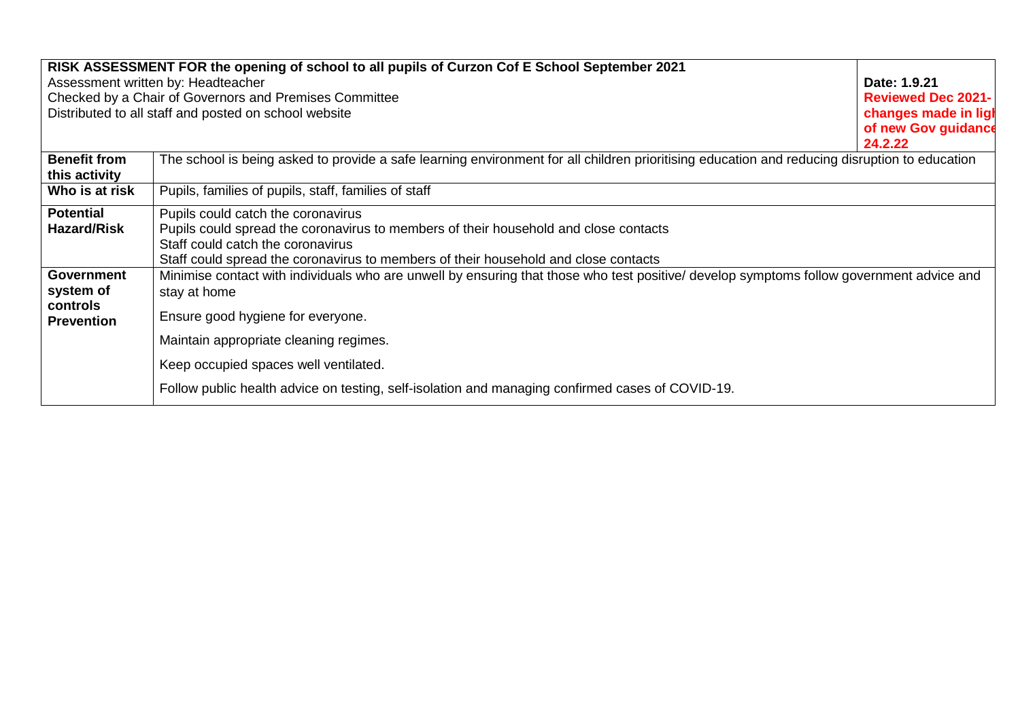|                                                                                | RISK ASSESSMENT FOR the opening of school to all pupils of Curzon Cof E School September 2021                                                 |                                           |  |  |  |  |  |
|--------------------------------------------------------------------------------|-----------------------------------------------------------------------------------------------------------------------------------------------|-------------------------------------------|--|--|--|--|--|
|                                                                                | Assessment written by: Headteacher                                                                                                            | Date: 1.9.21<br><b>Reviewed Dec 2021-</b> |  |  |  |  |  |
| Checked by a Chair of Governors and Premises Committee<br>changes made in ligh |                                                                                                                                               |                                           |  |  |  |  |  |
| Distributed to all staff and posted on school website                          |                                                                                                                                               |                                           |  |  |  |  |  |
| of new Gov guidance<br>24.2.22                                                 |                                                                                                                                               |                                           |  |  |  |  |  |
| <b>Benefit from</b>                                                            | The school is being asked to provide a safe learning environment for all children prioritising education and reducing disruption to education |                                           |  |  |  |  |  |
| this activity                                                                  |                                                                                                                                               |                                           |  |  |  |  |  |
| Who is at risk                                                                 | Pupils, families of pupils, staff, families of staff                                                                                          |                                           |  |  |  |  |  |
| <b>Potential</b>                                                               | Pupils could catch the coronavirus                                                                                                            |                                           |  |  |  |  |  |
| <b>Hazard/Risk</b>                                                             | Pupils could spread the coronavirus to members of their household and close contacts                                                          |                                           |  |  |  |  |  |
|                                                                                | Staff could catch the coronavirus                                                                                                             |                                           |  |  |  |  |  |
|                                                                                | Staff could spread the coronavirus to members of their household and close contacts                                                           |                                           |  |  |  |  |  |
| <b>Government</b>                                                              | Minimise contact with individuals who are unwell by ensuring that those who test positive/ develop symptoms follow government advice and      |                                           |  |  |  |  |  |
| system of                                                                      | stay at home                                                                                                                                  |                                           |  |  |  |  |  |
| controls                                                                       |                                                                                                                                               |                                           |  |  |  |  |  |
| <b>Prevention</b>                                                              | Ensure good hygiene for everyone.                                                                                                             |                                           |  |  |  |  |  |
|                                                                                | Maintain appropriate cleaning regimes.                                                                                                        |                                           |  |  |  |  |  |
|                                                                                | Keep occupied spaces well ventilated.                                                                                                         |                                           |  |  |  |  |  |
|                                                                                | Follow public health advice on testing, self-isolation and managing confirmed cases of COVID-19.                                              |                                           |  |  |  |  |  |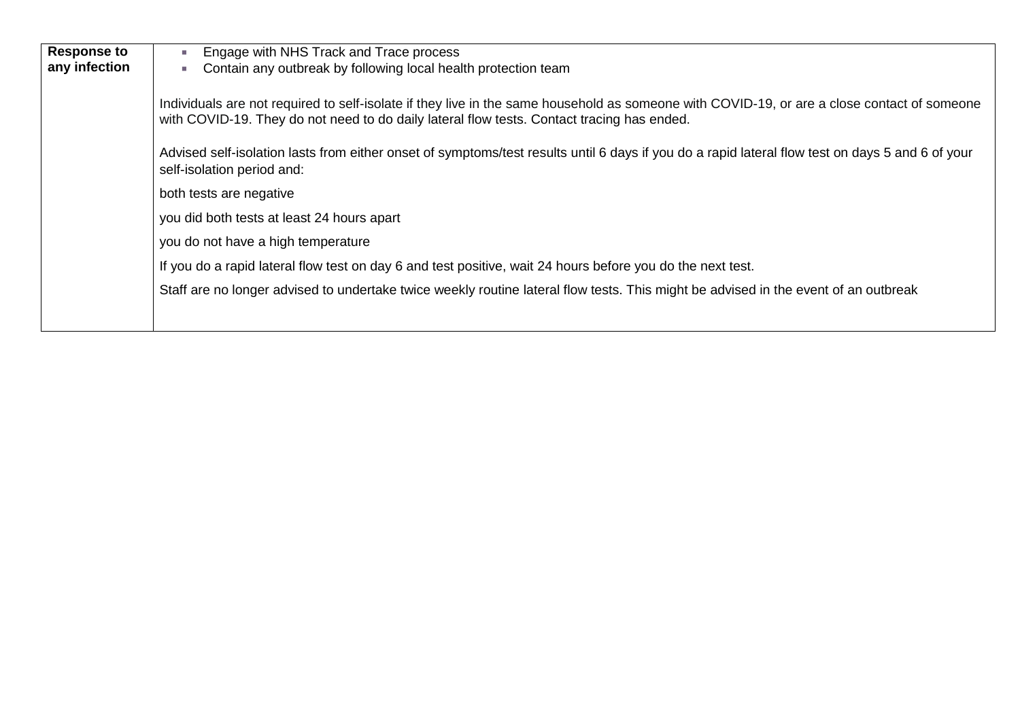| <b>Response to</b> | Engage with NHS Track and Trace process                                                                                                                                                                                                   |
|--------------------|-------------------------------------------------------------------------------------------------------------------------------------------------------------------------------------------------------------------------------------------|
| any infection      | Contain any outbreak by following local health protection team                                                                                                                                                                            |
|                    | Individuals are not required to self-isolate if they live in the same household as someone with COVID-19, or are a close contact of someone<br>with COVID-19. They do not need to do daily lateral flow tests. Contact tracing has ended. |
|                    | Advised self-isolation lasts from either onset of symptoms/test results until 6 days if you do a rapid lateral flow test on days 5 and 6 of your<br>self-isolation period and:                                                            |
|                    | both tests are negative                                                                                                                                                                                                                   |
|                    | you did both tests at least 24 hours apart                                                                                                                                                                                                |
|                    | you do not have a high temperature                                                                                                                                                                                                        |
|                    | If you do a rapid lateral flow test on day 6 and test positive, wait 24 hours before you do the next test.                                                                                                                                |
|                    | Staff are no longer advised to undertake twice weekly routine lateral flow tests. This might be advised in the event of an outbreak                                                                                                       |
|                    |                                                                                                                                                                                                                                           |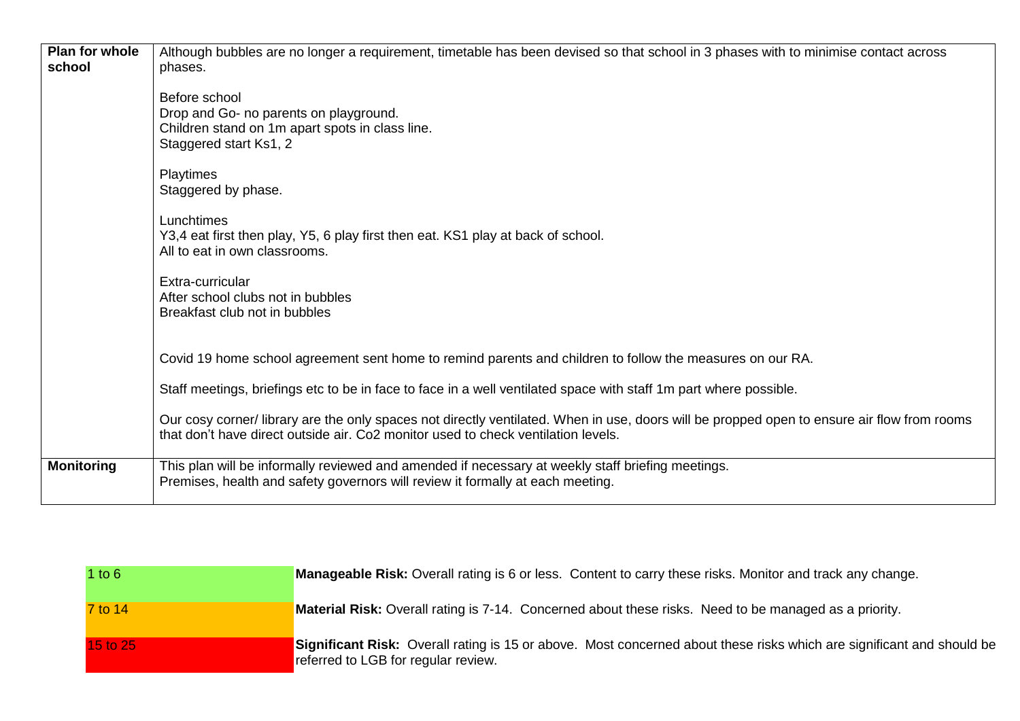| <b>Plan for whole</b><br>school | Although bubbles are no longer a requirement, timetable has been devised so that school in 3 phases with to minimise contact across<br>phases.                                                                                   |
|---------------------------------|----------------------------------------------------------------------------------------------------------------------------------------------------------------------------------------------------------------------------------|
|                                 | Before school<br>Drop and Go- no parents on playground.<br>Children stand on 1m apart spots in class line.<br>Staggered start Ks1, 2                                                                                             |
|                                 | Playtimes<br>Staggered by phase.                                                                                                                                                                                                 |
|                                 | Lunchtimes<br>Y3,4 eat first then play, Y5, 6 play first then eat. KS1 play at back of school.<br>All to eat in own classrooms.                                                                                                  |
|                                 | Extra-curricular<br>After school clubs not in bubbles<br>Breakfast club not in bubbles                                                                                                                                           |
|                                 | Covid 19 home school agreement sent home to remind parents and children to follow the measures on our RA.                                                                                                                        |
|                                 | Staff meetings, briefings etc to be in face to face in a well ventilated space with staff 1m part where possible.                                                                                                                |
|                                 | Our cosy corner/ library are the only spaces not directly ventilated. When in use, doors will be propped open to ensure air flow from rooms<br>that don't have direct outside air. Co2 monitor used to check ventilation levels. |
| <b>Monitoring</b>               | This plan will be informally reviewed and amended if necessary at weekly staff briefing meetings.<br>Premises, health and safety governors will review it formally at each meeting.                                              |

| 15 to 25       | Significant Risk: Overall rating is 15 or above. Most concerned about these risks which are significant and should be<br>referred to LGB for regular review. |
|----------------|--------------------------------------------------------------------------------------------------------------------------------------------------------------|
| <b>7 to 14</b> | <b>Material Risk:</b> Overall rating is 7-14. Concerned about these risks. Need to be managed as a priority.                                                 |
| 1 to $6$       | <b>Manageable Risk:</b> Overall rating is 6 or less. Content to carry these risks. Monitor and track any change.                                             |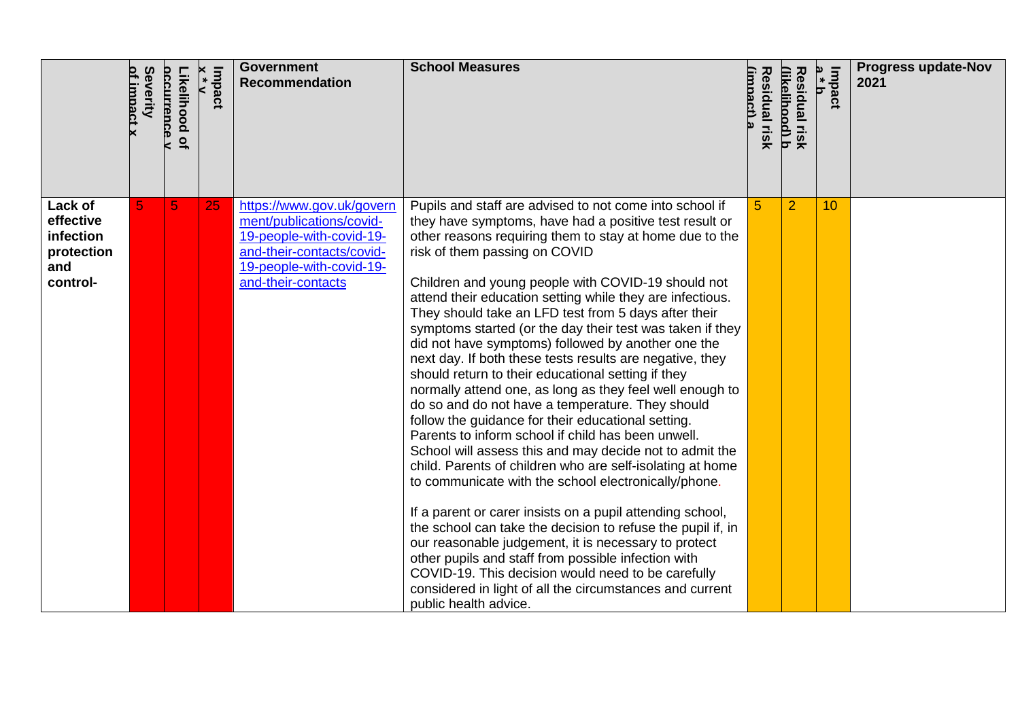|                                            | of impac<br>Severity | occurrence<br>Likelihood<br>$\overline{\mathbf{a}}$ | Impact<br>$\mathsf{k}^*$ | <b>Government</b><br><b>Recommendation</b>                                                              | <b>School Measures</b>                                                                                                                                                                                                                                                                                                                                                                                                                                                                                                                                                                                                                                                                                                                                                                                                                                                                                                                                                                                                                                                                                                                                          | (impact)<br>Residual risk | <u>likelihood) b</u><br>Residual<br>risk | ש<br>Impact<br>$\ast$<br>Ь | <b>Progress update-Nov</b><br>2021 |
|--------------------------------------------|----------------------|-----------------------------------------------------|--------------------------|---------------------------------------------------------------------------------------------------------|-----------------------------------------------------------------------------------------------------------------------------------------------------------------------------------------------------------------------------------------------------------------------------------------------------------------------------------------------------------------------------------------------------------------------------------------------------------------------------------------------------------------------------------------------------------------------------------------------------------------------------------------------------------------------------------------------------------------------------------------------------------------------------------------------------------------------------------------------------------------------------------------------------------------------------------------------------------------------------------------------------------------------------------------------------------------------------------------------------------------------------------------------------------------|---------------------------|------------------------------------------|----------------------------|------------------------------------|
| Lack of<br>effective                       | 5                    | 5                                                   | 25                       | https://www.gov.uk/govern<br>ment/publications/covid-                                                   | Pupils and staff are advised to not come into school if<br>they have symptoms, have had a positive test result or                                                                                                                                                                                                                                                                                                                                                                                                                                                                                                                                                                                                                                                                                                                                                                                                                                                                                                                                                                                                                                               | 5                         | $\overline{2}$                           | 10                         |                                    |
| infection<br>protection<br>and<br>control- |                      |                                                     |                          | 19-people-with-covid-19-<br>and-their-contacts/covid-<br>19-people-with-covid-19-<br>and-their-contacts | other reasons requiring them to stay at home due to the<br>risk of them passing on COVID<br>Children and young people with COVID-19 should not<br>attend their education setting while they are infectious.<br>They should take an LFD test from 5 days after their<br>symptoms started (or the day their test was taken if they<br>did not have symptoms) followed by another one the<br>next day. If both these tests results are negative, they<br>should return to their educational setting if they<br>normally attend one, as long as they feel well enough to<br>do so and do not have a temperature. They should<br>follow the guidance for their educational setting.<br>Parents to inform school if child has been unwell.<br>School will assess this and may decide not to admit the<br>child. Parents of children who are self-isolating at home<br>to communicate with the school electronically/phone.<br>If a parent or carer insists on a pupil attending school,<br>the school can take the decision to refuse the pupil if, in<br>our reasonable judgement, it is necessary to protect<br>other pupils and staff from possible infection with |                           |                                          |                            |                                    |
|                                            |                      |                                                     |                          |                                                                                                         | COVID-19. This decision would need to be carefully<br>considered in light of all the circumstances and current<br>public health advice.                                                                                                                                                                                                                                                                                                                                                                                                                                                                                                                                                                                                                                                                                                                                                                                                                                                                                                                                                                                                                         |                           |                                          |                            |                                    |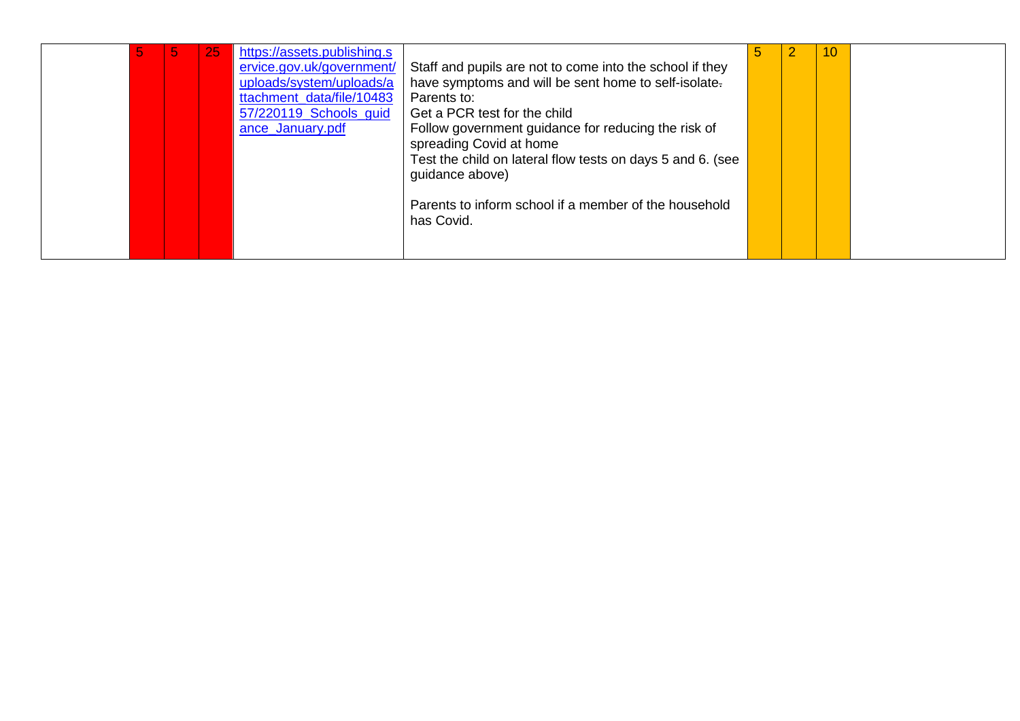|  | ь | 25 | https://assets.publishing.s |                                                            | $\overline{5}$ | 2 | 10 |  |
|--|---|----|-----------------------------|------------------------------------------------------------|----------------|---|----|--|
|  |   |    | ervice.gov.uk/government/   | Staff and pupils are not to come into the school if they   |                |   |    |  |
|  |   |    | uploads/system/uploads/a    | have symptoms and will be sent home to self-isolate.       |                |   |    |  |
|  |   |    | ttachment_data/file/10483   | Parents to:                                                |                |   |    |  |
|  |   |    | 57/220119 Schools quid      | Get a PCR test for the child                               |                |   |    |  |
|  |   |    | ance_January.pdf            | Follow government guidance for reducing the risk of        |                |   |    |  |
|  |   |    |                             | spreading Covid at home                                    |                |   |    |  |
|  |   |    |                             | Test the child on lateral flow tests on days 5 and 6. (see |                |   |    |  |
|  |   |    |                             | guidance above)                                            |                |   |    |  |
|  |   |    |                             |                                                            |                |   |    |  |
|  |   |    |                             | Parents to inform school if a member of the household      |                |   |    |  |
|  |   |    |                             | has Covid.                                                 |                |   |    |  |
|  |   |    |                             |                                                            |                |   |    |  |
|  |   |    |                             |                                                            |                |   |    |  |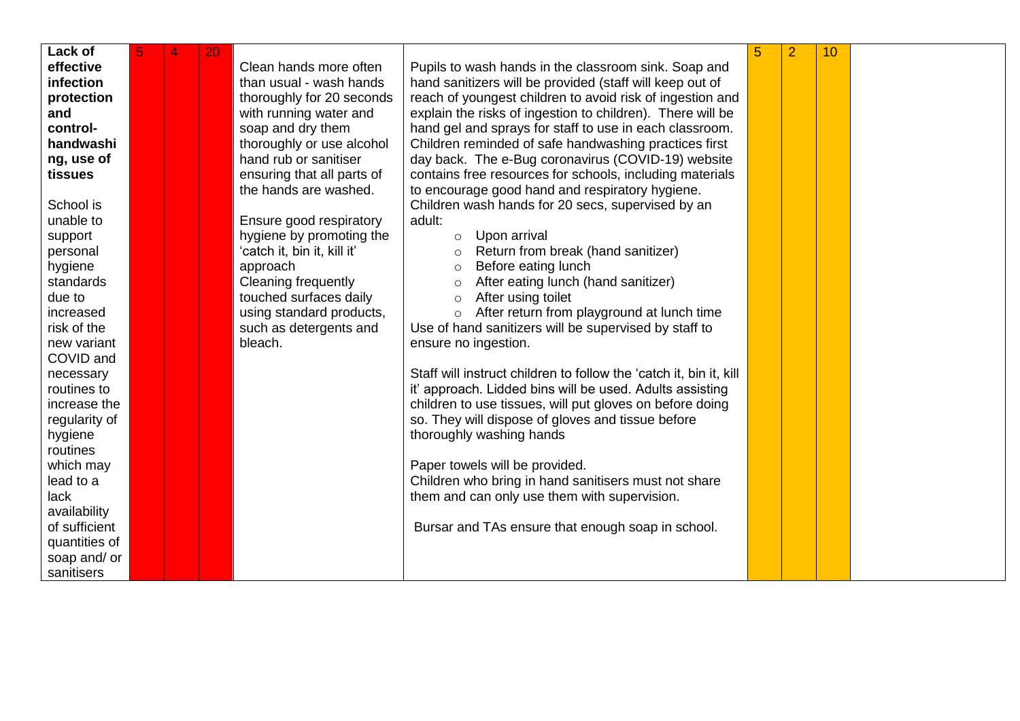| Lack of<br>effective | 5 | 4 | 20 | Clean hands more often      | Pupils to wash hands in the classroom sink. Soap and               | 5 | $\overline{2}$ | 10 |  |
|----------------------|---|---|----|-----------------------------|--------------------------------------------------------------------|---|----------------|----|--|
| infection            |   |   |    | than usual - wash hands     | hand sanitizers will be provided (staff will keep out of           |   |                |    |  |
| protection           |   |   |    | thoroughly for 20 seconds   | reach of youngest children to avoid risk of ingestion and          |   |                |    |  |
| and                  |   |   |    | with running water and      | explain the risks of ingestion to children). There will be         |   |                |    |  |
| control-             |   |   |    | soap and dry them           | hand gel and sprays for staff to use in each classroom.            |   |                |    |  |
| handwashi            |   |   |    | thoroughly or use alcohol   | Children reminded of safe handwashing practices first              |   |                |    |  |
| ng, use of           |   |   |    | hand rub or sanitiser       | day back. The e-Bug coronavirus (COVID-19) website                 |   |                |    |  |
| tissues              |   |   |    | ensuring that all parts of  | contains free resources for schools, including materials           |   |                |    |  |
|                      |   |   |    | the hands are washed.       | to encourage good hand and respiratory hygiene.                    |   |                |    |  |
| School is            |   |   |    |                             | Children wash hands for 20 secs, supervised by an                  |   |                |    |  |
| unable to            |   |   |    | Ensure good respiratory     | adult:                                                             |   |                |    |  |
| support              |   |   |    | hygiene by promoting the    | Upon arrival<br>$\circ$                                            |   |                |    |  |
| personal             |   |   |    | 'catch it, bin it, kill it' | Return from break (hand sanitizer)<br>$\circ$                      |   |                |    |  |
| hygiene              |   |   |    | approach                    | Before eating lunch<br>$\circ$                                     |   |                |    |  |
| standards            |   |   |    | Cleaning frequently         | After eating lunch (hand sanitizer)<br>$\circ$                     |   |                |    |  |
| due to               |   |   |    | touched surfaces daily      | After using toilet<br>$\circ$                                      |   |                |    |  |
| increased            |   |   |    | using standard products,    | After return from playground at lunch time<br>$\circ$              |   |                |    |  |
| risk of the          |   |   |    | such as detergents and      | Use of hand sanitizers will be supervised by staff to              |   |                |    |  |
| new variant          |   |   |    | bleach.                     | ensure no ingestion.                                               |   |                |    |  |
| COVID and            |   |   |    |                             |                                                                    |   |                |    |  |
| necessary            |   |   |    |                             | Staff will instruct children to follow the 'catch it, bin it, kill |   |                |    |  |
| routines to          |   |   |    |                             | it' approach. Lidded bins will be used. Adults assisting           |   |                |    |  |
| increase the         |   |   |    |                             | children to use tissues, will put gloves on before doing           |   |                |    |  |
| regularity of        |   |   |    |                             | so. They will dispose of gloves and tissue before                  |   |                |    |  |
| hygiene              |   |   |    |                             | thoroughly washing hands                                           |   |                |    |  |
| routines             |   |   |    |                             |                                                                    |   |                |    |  |
| which may            |   |   |    |                             | Paper towels will be provided.                                     |   |                |    |  |
| lead to a            |   |   |    |                             | Children who bring in hand sanitisers must not share               |   |                |    |  |
| lack                 |   |   |    |                             | them and can only use them with supervision.                       |   |                |    |  |
| availability         |   |   |    |                             |                                                                    |   |                |    |  |
| of sufficient        |   |   |    |                             | Bursar and TAs ensure that enough soap in school.                  |   |                |    |  |
| quantities of        |   |   |    |                             |                                                                    |   |                |    |  |
| soap and/ or         |   |   |    |                             |                                                                    |   |                |    |  |
| sanitisers           |   |   |    |                             |                                                                    |   |                |    |  |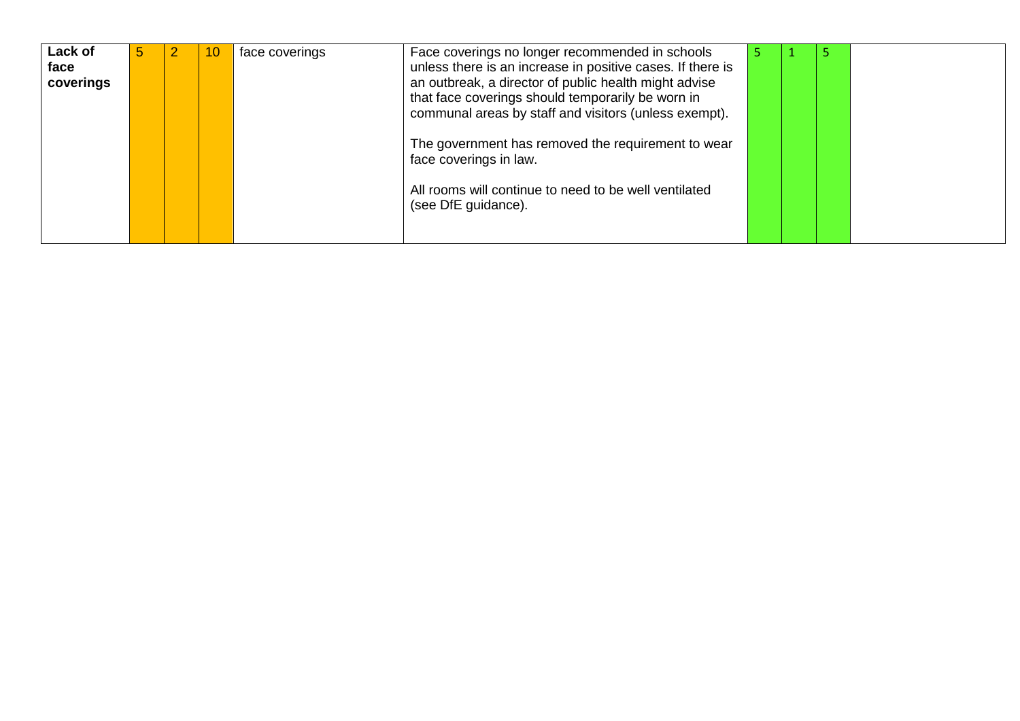| <b>Lack of</b><br>face<br>coverings | $\mathbf{b}$ | 10 | face coverings | Face coverings no longer recommended in schools<br>unless there is an increase in positive cases. If there is<br>an outbreak, a director of public health might advise<br>that face coverings should temporarily be worn in<br>communal areas by staff and visitors (unless exempt). |  |  |
|-------------------------------------|--------------|----|----------------|--------------------------------------------------------------------------------------------------------------------------------------------------------------------------------------------------------------------------------------------------------------------------------------|--|--|
|                                     |              |    |                | The government has removed the requirement to wear<br>face coverings in law.                                                                                                                                                                                                         |  |  |
|                                     |              |    |                | All rooms will continue to need to be well ventilated<br>(see DfE guidance).                                                                                                                                                                                                         |  |  |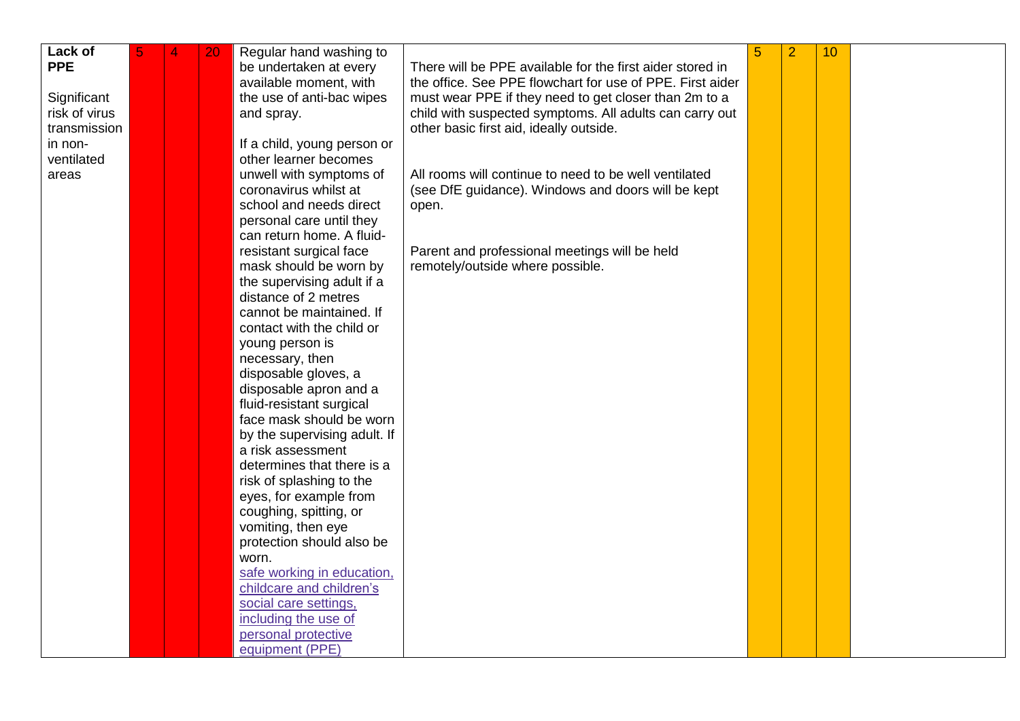| Lack of<br><b>PPE</b> |  | 20 | Regular hand washing to<br>be undertaken at every | There will be PPE available for the first aider stored in | 5 | $\overline{2}$ | 10 |  |
|-----------------------|--|----|---------------------------------------------------|-----------------------------------------------------------|---|----------------|----|--|
|                       |  |    | available moment, with                            | the office. See PPE flowchart for use of PPE. First aider |   |                |    |  |
| Significant           |  |    | the use of anti-bac wipes                         | must wear PPE if they need to get closer than 2m to a     |   |                |    |  |
| risk of virus         |  |    | and spray.                                        | child with suspected symptoms. All adults can carry out   |   |                |    |  |
| transmission          |  |    |                                                   | other basic first aid, ideally outside.                   |   |                |    |  |
| in non-               |  |    | If a child, young person or                       |                                                           |   |                |    |  |
| ventilated            |  |    | other learner becomes                             |                                                           |   |                |    |  |
| areas                 |  |    | unwell with symptoms of                           | All rooms will continue to need to be well ventilated     |   |                |    |  |
|                       |  |    | coronavirus whilst at                             | (see DfE guidance). Windows and doors will be kept        |   |                |    |  |
|                       |  |    | school and needs direct                           | open.                                                     |   |                |    |  |
|                       |  |    | personal care until they                          |                                                           |   |                |    |  |
|                       |  |    | can return home. A fluid-                         |                                                           |   |                |    |  |
|                       |  |    | resistant surgical face                           | Parent and professional meetings will be held             |   |                |    |  |
|                       |  |    | mask should be worn by                            | remotely/outside where possible.                          |   |                |    |  |
|                       |  |    | the supervising adult if a                        |                                                           |   |                |    |  |
|                       |  |    | distance of 2 metres                              |                                                           |   |                |    |  |
|                       |  |    | cannot be maintained. If                          |                                                           |   |                |    |  |
|                       |  |    | contact with the child or                         |                                                           |   |                |    |  |
|                       |  |    | young person is<br>necessary, then                |                                                           |   |                |    |  |
|                       |  |    | disposable gloves, a                              |                                                           |   |                |    |  |
|                       |  |    | disposable apron and a                            |                                                           |   |                |    |  |
|                       |  |    | fluid-resistant surgical                          |                                                           |   |                |    |  |
|                       |  |    | face mask should be worn                          |                                                           |   |                |    |  |
|                       |  |    | by the supervising adult. If                      |                                                           |   |                |    |  |
|                       |  |    | a risk assessment                                 |                                                           |   |                |    |  |
|                       |  |    | determines that there is a                        |                                                           |   |                |    |  |
|                       |  |    | risk of splashing to the                          |                                                           |   |                |    |  |
|                       |  |    | eyes, for example from                            |                                                           |   |                |    |  |
|                       |  |    | coughing, spitting, or                            |                                                           |   |                |    |  |
|                       |  |    | vomiting, then eye                                |                                                           |   |                |    |  |
|                       |  |    | protection should also be                         |                                                           |   |                |    |  |
|                       |  |    | worn.                                             |                                                           |   |                |    |  |
|                       |  |    | safe working in education,                        |                                                           |   |                |    |  |
|                       |  |    | childcare and children's                          |                                                           |   |                |    |  |
|                       |  |    | social care settings,                             |                                                           |   |                |    |  |
|                       |  |    | including the use of                              |                                                           |   |                |    |  |
|                       |  |    | personal protective                               |                                                           |   |                |    |  |
|                       |  |    | equipment (PPE)                                   |                                                           |   |                |    |  |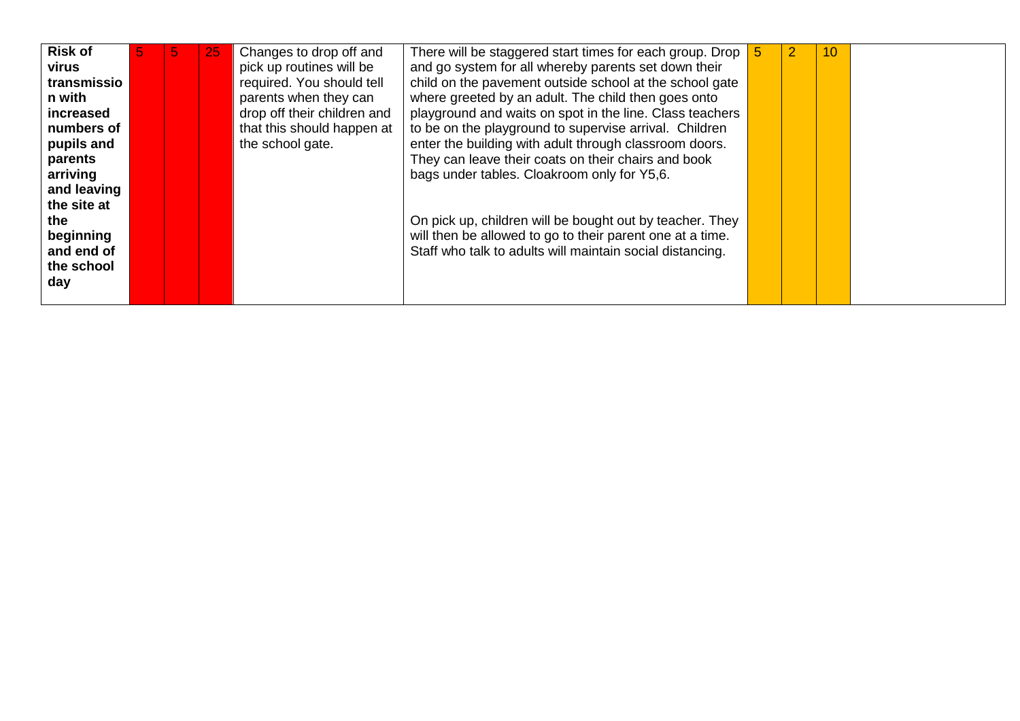| <b>Risk of</b> | 5. | $\overline{5}$ | 25 | Changes to drop off and     | There will be staggered start times for each group. Drop  | 2 | 10 |  |
|----------------|----|----------------|----|-----------------------------|-----------------------------------------------------------|---|----|--|
| virus          |    |                |    | pick up routines will be    | and go system for all whereby parents set down their      |   |    |  |
| transmissio    |    |                |    | required. You should tell   | child on the pavement outside school at the school gate   |   |    |  |
| n with         |    |                |    | parents when they can       | where greeted by an adult. The child then goes onto       |   |    |  |
| increased      |    |                |    | drop off their children and | playground and waits on spot in the line. Class teachers  |   |    |  |
| numbers of     |    |                |    | that this should happen at  | to be on the playground to supervise arrival. Children    |   |    |  |
| pupils and     |    |                |    | the school gate.            | enter the building with adult through classroom doors.    |   |    |  |
| parents        |    |                |    |                             | They can leave their coats on their chairs and book       |   |    |  |
| arriving       |    |                |    |                             | bags under tables. Cloakroom only for Y5,6.               |   |    |  |
| and leaving    |    |                |    |                             |                                                           |   |    |  |
| the site at    |    |                |    |                             |                                                           |   |    |  |
| the            |    |                |    |                             | On pick up, children will be bought out by teacher. They  |   |    |  |
| beginning      |    |                |    |                             | will then be allowed to go to their parent one at a time. |   |    |  |
| and end of     |    |                |    |                             | Staff who talk to adults will maintain social distancing. |   |    |  |
| the school     |    |                |    |                             |                                                           |   |    |  |
| day            |    |                |    |                             |                                                           |   |    |  |
|                |    |                |    |                             |                                                           |   |    |  |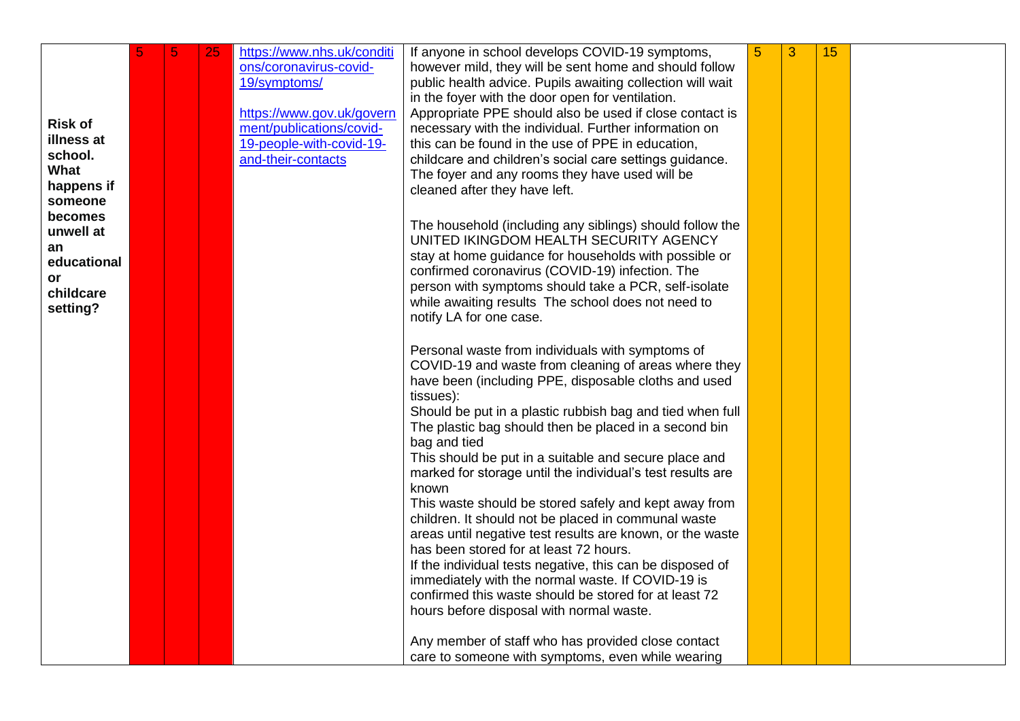| <b>Risk of</b><br>illness at<br>school.<br>What<br>happens if<br>someone | 5 | 25 | https://www.nhs.uk/conditi<br>ons/coronavirus-covid-<br>19/symptoms/<br>https://www.gov.uk/govern<br>ment/publications/covid-<br>19-people-with-covid-19-<br>and-their-contacts | If anyone in school develops COVID-19 symptoms,<br>however mild, they will be sent home and should follow<br>public health advice. Pupils awaiting collection will wait<br>in the foyer with the door open for ventilation.<br>Appropriate PPE should also be used if close contact is<br>necessary with the individual. Further information on<br>this can be found in the use of PPE in education,<br>childcare and children's social care settings guidance.<br>The foyer and any rooms they have used will be<br>cleaned after they have left.                                                                                                                                                                                                                                                                                                                                                | 5 | 3 | 15 |  |
|--------------------------------------------------------------------------|---|----|---------------------------------------------------------------------------------------------------------------------------------------------------------------------------------|---------------------------------------------------------------------------------------------------------------------------------------------------------------------------------------------------------------------------------------------------------------------------------------------------------------------------------------------------------------------------------------------------------------------------------------------------------------------------------------------------------------------------------------------------------------------------------------------------------------------------------------------------------------------------------------------------------------------------------------------------------------------------------------------------------------------------------------------------------------------------------------------------|---|---|----|--|
| becomes<br>unwell at<br>an<br>educational<br>or<br>childcare<br>setting? |   |    |                                                                                                                                                                                 | The household (including any siblings) should follow the<br>UNITED IKINGDOM HEALTH SECURITY AGENCY<br>stay at home guidance for households with possible or<br>confirmed coronavirus (COVID-19) infection. The<br>person with symptoms should take a PCR, self-isolate<br>while awaiting results The school does not need to<br>notify LA for one case.                                                                                                                                                                                                                                                                                                                                                                                                                                                                                                                                           |   |   |    |  |
|                                                                          |   |    |                                                                                                                                                                                 | Personal waste from individuals with symptoms of<br>COVID-19 and waste from cleaning of areas where they<br>have been (including PPE, disposable cloths and used<br>tissues):<br>Should be put in a plastic rubbish bag and tied when full<br>The plastic bag should then be placed in a second bin<br>bag and tied<br>This should be put in a suitable and secure place and<br>marked for storage until the individual's test results are<br>known<br>This waste should be stored safely and kept away from<br>children. It should not be placed in communal waste<br>areas until negative test results are known, or the waste<br>has been stored for at least 72 hours.<br>If the individual tests negative, this can be disposed of<br>immediately with the normal waste. If COVID-19 is<br>confirmed this waste should be stored for at least 72<br>hours before disposal with normal waste. |   |   |    |  |
|                                                                          |   |    |                                                                                                                                                                                 | Any member of staff who has provided close contact<br>care to someone with symptoms, even while wearing                                                                                                                                                                                                                                                                                                                                                                                                                                                                                                                                                                                                                                                                                                                                                                                           |   |   |    |  |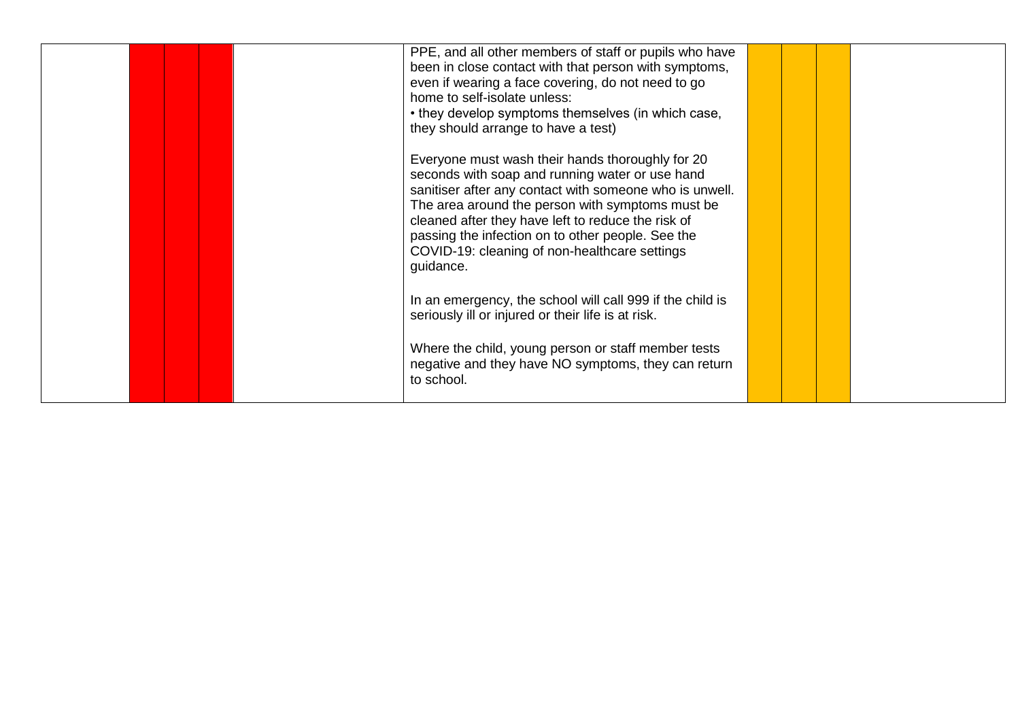|  | PPE, and all other members of staff or pupils who have<br>been in close contact with that person with symptoms,<br>even if wearing a face covering, do not need to go<br>home to self-isolate unless:<br>• they develop symptoms themselves (in which case,<br>they should arrange to have a test)                                                                                          |  |  |
|--|---------------------------------------------------------------------------------------------------------------------------------------------------------------------------------------------------------------------------------------------------------------------------------------------------------------------------------------------------------------------------------------------|--|--|
|  | Everyone must wash their hands thoroughly for 20<br>seconds with soap and running water or use hand<br>sanitiser after any contact with someone who is unwell.<br>The area around the person with symptoms must be<br>cleaned after they have left to reduce the risk of<br>passing the infection on to other people. See the<br>COVID-19: cleaning of non-healthcare settings<br>guidance. |  |  |
|  | In an emergency, the school will call 999 if the child is<br>seriously ill or injured or their life is at risk.                                                                                                                                                                                                                                                                             |  |  |
|  | Where the child, young person or staff member tests<br>negative and they have NO symptoms, they can return<br>to school.                                                                                                                                                                                                                                                                    |  |  |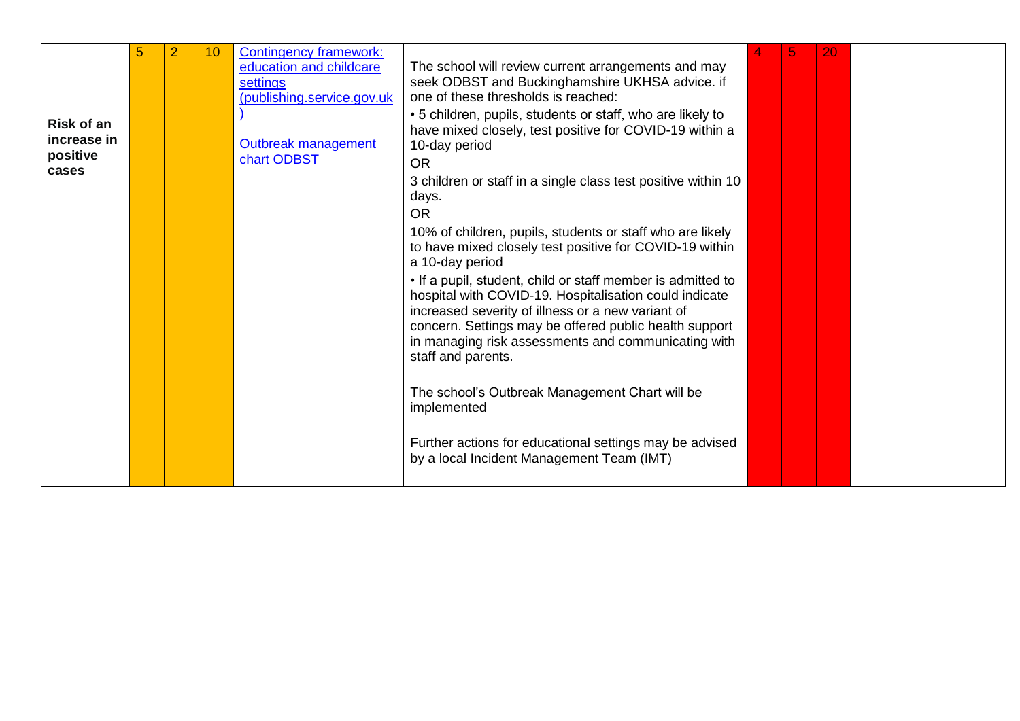| <b>Risk of an</b><br>increase in<br>positive<br>cases | 5 | 2 | 10 <sup>°</sup> | <b>Contingency framework:</b><br>education and childcare<br>settings<br>(publishing.service.gov.uk<br>Outbreak management<br>chart ODBST | The school will review current arrangements and may<br>seek ODBST and Buckinghamshire UKHSA advice. if<br>one of these thresholds is reached:<br>• 5 children, pupils, students or staff, who are likely to<br>have mixed closely, test positive for COVID-19 within a<br>10-day period<br><b>OR</b><br>3 children or staff in a single class test positive within 10<br>days.<br><b>OR</b><br>10% of children, pupils, students or staff who are likely<br>to have mixed closely test positive for COVID-19 within<br>a 10-day period<br>. If a pupil, student, child or staff member is admitted to<br>hospital with COVID-19. Hospitalisation could indicate<br>increased severity of illness or a new variant of<br>concern. Settings may be offered public health support<br>in managing risk assessments and communicating with<br>staff and parents.<br>The school's Outbreak Management Chart will be<br>implemented |  | 20 |  |
|-------------------------------------------------------|---|---|-----------------|------------------------------------------------------------------------------------------------------------------------------------------|------------------------------------------------------------------------------------------------------------------------------------------------------------------------------------------------------------------------------------------------------------------------------------------------------------------------------------------------------------------------------------------------------------------------------------------------------------------------------------------------------------------------------------------------------------------------------------------------------------------------------------------------------------------------------------------------------------------------------------------------------------------------------------------------------------------------------------------------------------------------------------------------------------------------------|--|----|--|
|                                                       |   |   |                 |                                                                                                                                          | Further actions for educational settings may be advised<br>by a local Incident Management Team (IMT)                                                                                                                                                                                                                                                                                                                                                                                                                                                                                                                                                                                                                                                                                                                                                                                                                         |  |    |  |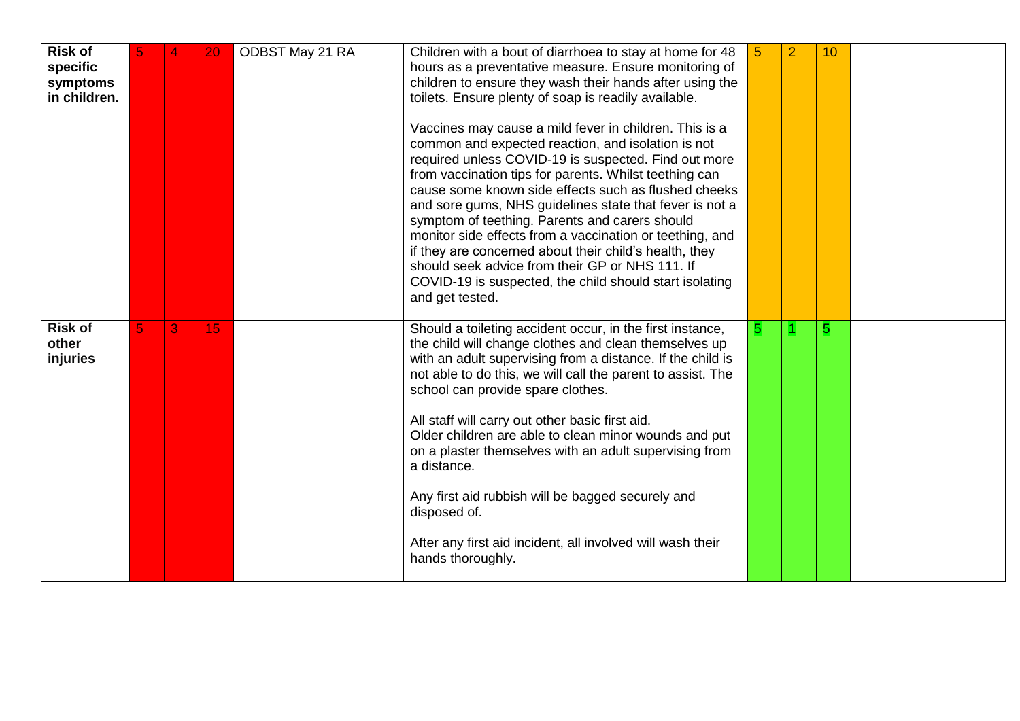| <b>Risk of</b><br>specific<br>symptoms<br>in children. |    | $\overline{4}$ | 20 | ODBST May 21 RA | Children with a bout of diarrhoea to stay at home for 48<br>hours as a preventative measure. Ensure monitoring of<br>children to ensure they wash their hands after using the<br>toilets. Ensure plenty of soap is readily available.<br>Vaccines may cause a mild fever in children. This is a<br>common and expected reaction, and isolation is not<br>required unless COVID-19 is suspected. Find out more<br>from vaccination tips for parents. Whilst teething can<br>cause some known side effects such as flushed cheeks<br>and sore gums, NHS guidelines state that fever is not a<br>symptom of teething. Parents and carers should<br>monitor side effects from a vaccination or teething, and<br>if they are concerned about their child's health, they<br>should seek advice from their GP or NHS 111. If<br>COVID-19 is suspected, the child should start isolating<br>and get tested. |   | $\overline{2}$ | 10 |  |
|--------------------------------------------------------|----|----------------|----|-----------------|-----------------------------------------------------------------------------------------------------------------------------------------------------------------------------------------------------------------------------------------------------------------------------------------------------------------------------------------------------------------------------------------------------------------------------------------------------------------------------------------------------------------------------------------------------------------------------------------------------------------------------------------------------------------------------------------------------------------------------------------------------------------------------------------------------------------------------------------------------------------------------------------------------|---|----------------|----|--|
| <b>Risk of</b><br>other<br>injuries                    | 5. | 3              | 15 |                 | Should a toileting accident occur, in the first instance,<br>the child will change clothes and clean themselves up<br>with an adult supervising from a distance. If the child is<br>not able to do this, we will call the parent to assist. The<br>school can provide spare clothes.<br>All staff will carry out other basic first aid.<br>Older children are able to clean minor wounds and put<br>on a plaster themselves with an adult supervising from<br>a distance.<br>Any first aid rubbish will be bagged securely and<br>disposed of.<br>After any first aid incident, all involved will wash their<br>hands thoroughly.                                                                                                                                                                                                                                                                   | 5 |                | 5  |  |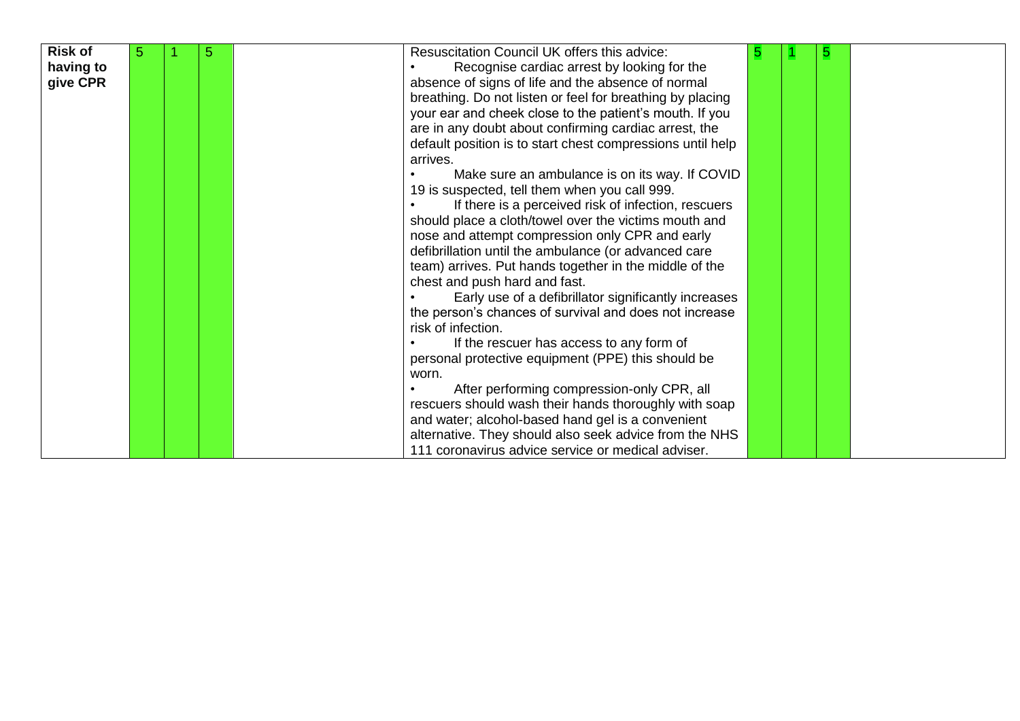| <b>Risk of</b> | 5 | 5 | Resuscitation Council UK offers this advice:               | 5 | 5 |  |
|----------------|---|---|------------------------------------------------------------|---|---|--|
| having to      |   |   | Recognise cardiac arrest by looking for the                |   |   |  |
| give CPR       |   |   | absence of signs of life and the absence of normal         |   |   |  |
|                |   |   | breathing. Do not listen or feel for breathing by placing  |   |   |  |
|                |   |   | your ear and cheek close to the patient's mouth. If you    |   |   |  |
|                |   |   | are in any doubt about confirming cardiac arrest, the      |   |   |  |
|                |   |   | default position is to start chest compressions until help |   |   |  |
|                |   |   | arrives.                                                   |   |   |  |
|                |   |   | Make sure an ambulance is on its way. If COVID             |   |   |  |
|                |   |   | 19 is suspected, tell them when you call 999.              |   |   |  |
|                |   |   | If there is a perceived risk of infection, rescuers        |   |   |  |
|                |   |   | should place a cloth/towel over the victims mouth and      |   |   |  |
|                |   |   | nose and attempt compression only CPR and early            |   |   |  |
|                |   |   | defibrillation until the ambulance (or advanced care       |   |   |  |
|                |   |   | team) arrives. Put hands together in the middle of the     |   |   |  |
|                |   |   | chest and push hard and fast.                              |   |   |  |
|                |   |   | Early use of a defibrillator significantly increases       |   |   |  |
|                |   |   | the person's chances of survival and does not increase     |   |   |  |
|                |   |   | risk of infection.                                         |   |   |  |
|                |   |   | If the rescuer has access to any form of                   |   |   |  |
|                |   |   | personal protective equipment (PPE) this should be         |   |   |  |
|                |   |   | worn.                                                      |   |   |  |
|                |   |   | After performing compression-only CPR, all                 |   |   |  |
|                |   |   | rescuers should wash their hands thoroughly with soap      |   |   |  |
|                |   |   | and water; alcohol-based hand gel is a convenient          |   |   |  |
|                |   |   | alternative. They should also seek advice from the NHS     |   |   |  |
|                |   |   | 111 coronavirus advice service or medical adviser.         |   |   |  |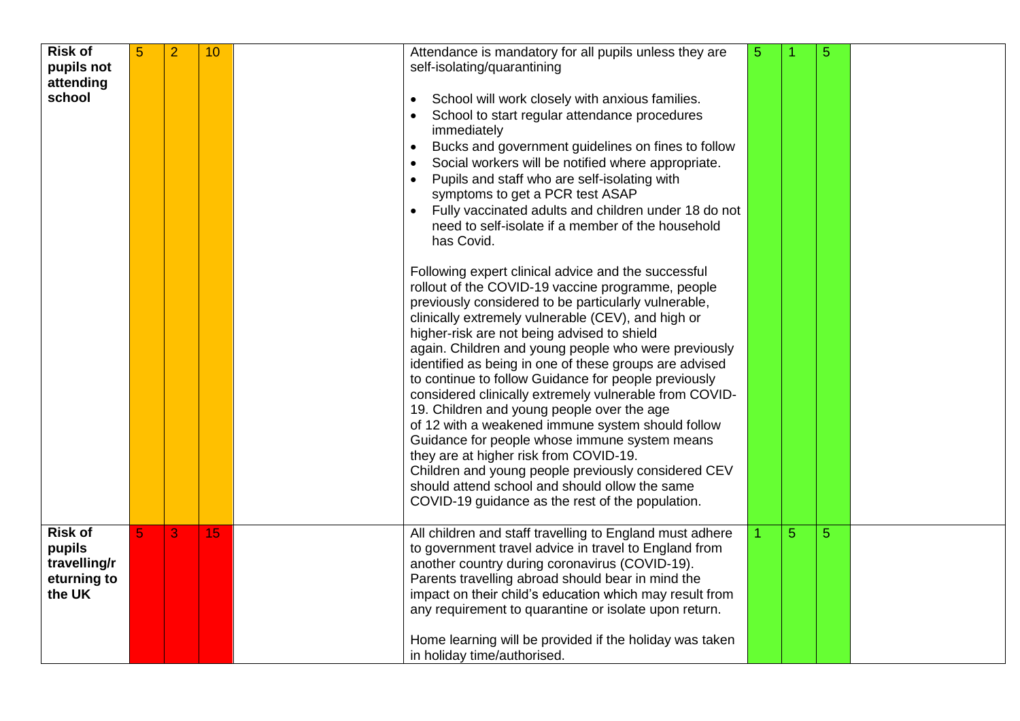| <b>Risk of</b><br>pupils not<br>attending<br>school               | 5 | 2 | 10 | Attendance is mandatory for all pupils unless they are<br>self-isolating/quarantining<br>School will work closely with anxious families.<br>$\bullet$<br>School to start regular attendance procedures<br>immediately<br>Bucks and government guidelines on fines to follow<br>Social workers will be notified where appropriate.<br>$\bullet$                                                                                                                                                                                                                                                                                                                                                                                                                                                                                                                       | 5 |                | 5 |  |
|-------------------------------------------------------------------|---|---|----|----------------------------------------------------------------------------------------------------------------------------------------------------------------------------------------------------------------------------------------------------------------------------------------------------------------------------------------------------------------------------------------------------------------------------------------------------------------------------------------------------------------------------------------------------------------------------------------------------------------------------------------------------------------------------------------------------------------------------------------------------------------------------------------------------------------------------------------------------------------------|---|----------------|---|--|
|                                                                   |   |   |    | Pupils and staff who are self-isolating with<br>$\bullet$<br>symptoms to get a PCR test ASAP<br>Fully vaccinated adults and children under 18 do not<br>$\bullet$<br>need to self-isolate if a member of the household<br>has Covid.                                                                                                                                                                                                                                                                                                                                                                                                                                                                                                                                                                                                                                 |   |                |   |  |
|                                                                   |   |   |    | Following expert clinical advice and the successful<br>rollout of the COVID-19 vaccine programme, people<br>previously considered to be particularly vulnerable,<br>clinically extremely vulnerable (CEV), and high or<br>higher-risk are not being advised to shield<br>again. Children and young people who were previously<br>identified as being in one of these groups are advised<br>to continue to follow Guidance for people previously<br>considered clinically extremely vulnerable from COVID-<br>19. Children and young people over the age<br>of 12 with a weakened immune system should follow<br>Guidance for people whose immune system means<br>they are at higher risk from COVID-19.<br>Children and young people previously considered CEV<br>should attend school and should ollow the same<br>COVID-19 guidance as the rest of the population. |   |                |   |  |
| <b>Risk of</b><br>pupils<br>travelling/r<br>eturning to<br>the UK |   | 3 | 15 | All children and staff travelling to England must adhere<br>to government travel advice in travel to England from<br>another country during coronavirus (COVID-19).<br>Parents travelling abroad should bear in mind the<br>impact on their child's education which may result from<br>any requirement to quarantine or isolate upon return.<br>Home learning will be provided if the holiday was taken<br>in holiday time/authorised.                                                                                                                                                                                                                                                                                                                                                                                                                               |   | $\overline{5}$ | 5 |  |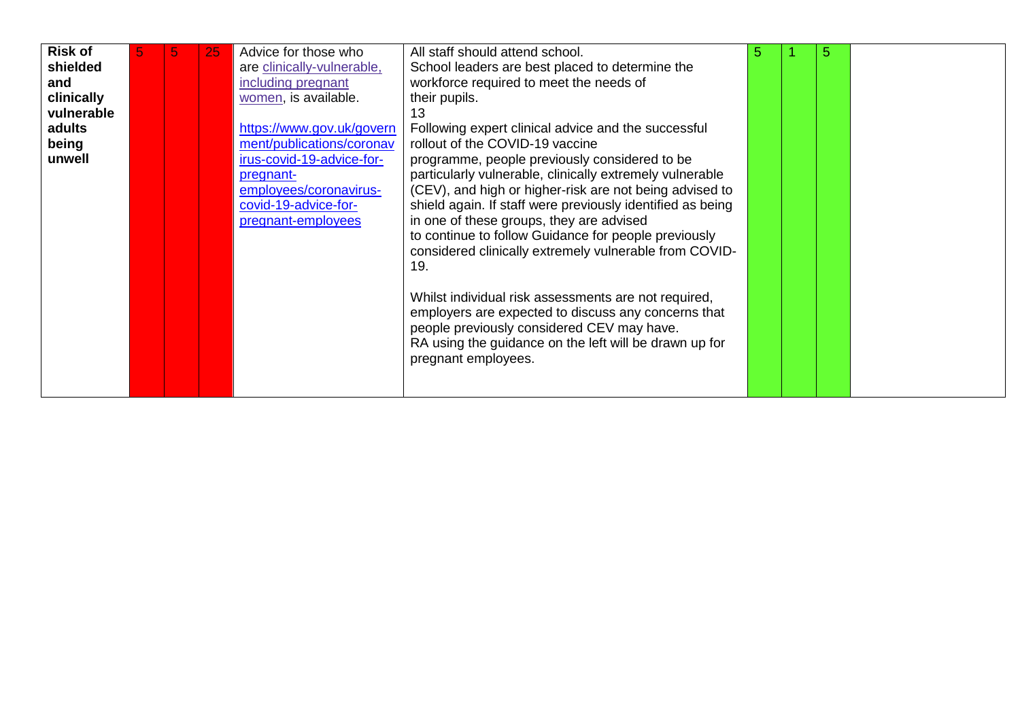| <b>Risk of</b><br>shielded                                   | 5 | 25 | Advice for those who<br>are clinically-vulnerable,                                                                                                                                                                     | All staff should attend school.<br>School leaders are best placed to determine the                                                                                                                                                                                                                                                                                                                                                                                                                                                                           |  |  |
|--------------------------------------------------------------|---|----|------------------------------------------------------------------------------------------------------------------------------------------------------------------------------------------------------------------------|--------------------------------------------------------------------------------------------------------------------------------------------------------------------------------------------------------------------------------------------------------------------------------------------------------------------------------------------------------------------------------------------------------------------------------------------------------------------------------------------------------------------------------------------------------------|--|--|
| and<br>clinically<br>vulnerable<br>adults<br>being<br>unwell |   |    | including pregnant<br>women, is available.<br>https://www.gov.uk/govern<br>ment/publications/coronav<br>irus-covid-19-advice-for-<br>pregnant-<br>employees/coronavirus-<br>covid-19-advice-for-<br>pregnant-employees | workforce required to meet the needs of<br>their pupils.<br>13<br>Following expert clinical advice and the successful<br>rollout of the COVID-19 vaccine<br>programme, people previously considered to be<br>particularly vulnerable, clinically extremely vulnerable<br>(CEV), and high or higher-risk are not being advised to<br>shield again. If staff were previously identified as being<br>in one of these groups, they are advised<br>to continue to follow Guidance for people previously<br>considered clinically extremely vulnerable from COVID- |  |  |
|                                                              |   |    |                                                                                                                                                                                                                        | 19.<br>Whilst individual risk assessments are not required,<br>employers are expected to discuss any concerns that<br>people previously considered CEV may have.<br>RA using the guidance on the left will be drawn up for<br>pregnant employees.                                                                                                                                                                                                                                                                                                            |  |  |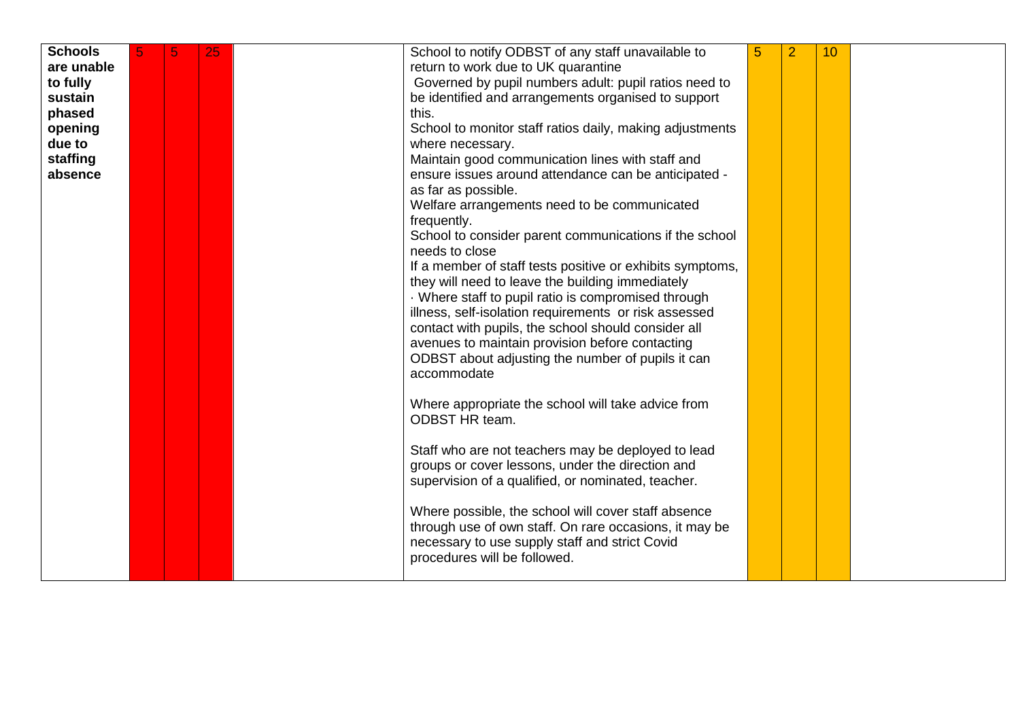| <b>Schools</b> |  | 25 | School to notify ODBST of any staff unavailable to        | 5 | $\overline{2}$ | 10 |  |
|----------------|--|----|-----------------------------------------------------------|---|----------------|----|--|
| are unable     |  |    | return to work due to UK quarantine                       |   |                |    |  |
| to fully       |  |    | Governed by pupil numbers adult: pupil ratios need to     |   |                |    |  |
| sustain        |  |    | be identified and arrangements organised to support       |   |                |    |  |
| phased         |  |    | this.                                                     |   |                |    |  |
| opening        |  |    | School to monitor staff ratios daily, making adjustments  |   |                |    |  |
| due to         |  |    | where necessary.                                          |   |                |    |  |
| staffing       |  |    | Maintain good communication lines with staff and          |   |                |    |  |
| absence        |  |    | ensure issues around attendance can be anticipated -      |   |                |    |  |
|                |  |    | as far as possible.                                       |   |                |    |  |
|                |  |    | Welfare arrangements need to be communicated              |   |                |    |  |
|                |  |    | frequently.                                               |   |                |    |  |
|                |  |    | School to consider parent communications if the school    |   |                |    |  |
|                |  |    | needs to close                                            |   |                |    |  |
|                |  |    | If a member of staff tests positive or exhibits symptoms, |   |                |    |  |
|                |  |    | they will need to leave the building immediately          |   |                |    |  |
|                |  |    | Where staff to pupil ratio is compromised through         |   |                |    |  |
|                |  |    | illness, self-isolation requirements or risk assessed     |   |                |    |  |
|                |  |    | contact with pupils, the school should consider all       |   |                |    |  |
|                |  |    | avenues to maintain provision before contacting           |   |                |    |  |
|                |  |    | ODBST about adjusting the number of pupils it can         |   |                |    |  |
|                |  |    | accommodate                                               |   |                |    |  |
|                |  |    |                                                           |   |                |    |  |
|                |  |    | Where appropriate the school will take advice from        |   |                |    |  |
|                |  |    | <b>ODBST HR team.</b>                                     |   |                |    |  |
|                |  |    |                                                           |   |                |    |  |
|                |  |    | Staff who are not teachers may be deployed to lead        |   |                |    |  |
|                |  |    | groups or cover lessons, under the direction and          |   |                |    |  |
|                |  |    | supervision of a qualified, or nominated, teacher.        |   |                |    |  |
|                |  |    |                                                           |   |                |    |  |
|                |  |    | Where possible, the school will cover staff absence       |   |                |    |  |
|                |  |    | through use of own staff. On rare occasions, it may be    |   |                |    |  |
|                |  |    | necessary to use supply staff and strict Covid            |   |                |    |  |
|                |  |    | procedures will be followed.                              |   |                |    |  |
|                |  |    |                                                           |   |                |    |  |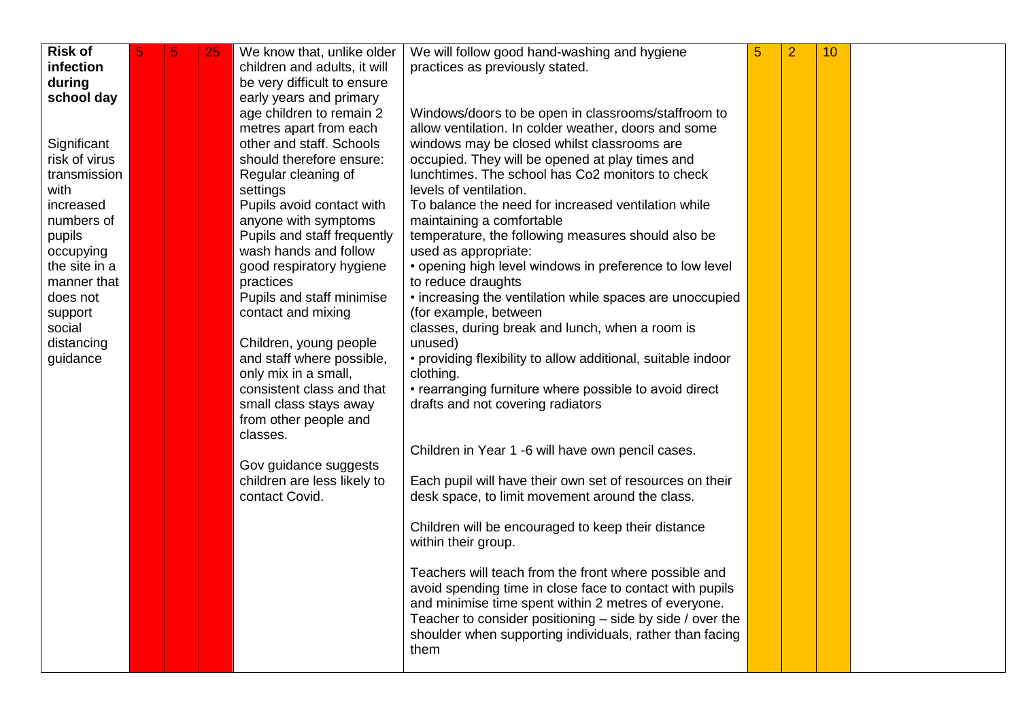| <b>Risk of</b><br>infection<br>during<br>school day                                                                                                                                               | 5 | $\overline{5}$ | 25 | We know that, unlike older<br>children and adults, it will<br>be very difficult to ensure<br>early years and primary<br>age children to remain 2<br>metres apart from each                                                                                                                                                                                                                                                                                                                                                                            | We will follow good hand-washing and hygiene<br>practices as previously stated.<br>Windows/doors to be open in classrooms/staffroom to<br>allow ventilation. In colder weather, doors and some                                                                                                                                                                                                                                                                                                                                                                                                                                                                                                                                                                                                                                                                                                                                                                                                                                                                                                                                                                                                                                                                                                                                  | 5 | $\overline{2}$ | 10 |  |
|---------------------------------------------------------------------------------------------------------------------------------------------------------------------------------------------------|---|----------------|----|-------------------------------------------------------------------------------------------------------------------------------------------------------------------------------------------------------------------------------------------------------------------------------------------------------------------------------------------------------------------------------------------------------------------------------------------------------------------------------------------------------------------------------------------------------|---------------------------------------------------------------------------------------------------------------------------------------------------------------------------------------------------------------------------------------------------------------------------------------------------------------------------------------------------------------------------------------------------------------------------------------------------------------------------------------------------------------------------------------------------------------------------------------------------------------------------------------------------------------------------------------------------------------------------------------------------------------------------------------------------------------------------------------------------------------------------------------------------------------------------------------------------------------------------------------------------------------------------------------------------------------------------------------------------------------------------------------------------------------------------------------------------------------------------------------------------------------------------------------------------------------------------------|---|----------------|----|--|
| Significant<br>risk of virus<br>transmission<br>with<br>increased<br>numbers of<br>pupils<br>occupying<br>the site in a<br>manner that<br>does not<br>support<br>social<br>distancing<br>guidance |   |                |    | other and staff. Schools<br>should therefore ensure:<br>Regular cleaning of<br>settings<br>Pupils avoid contact with<br>anyone with symptoms<br>Pupils and staff frequently<br>wash hands and follow<br>good respiratory hygiene<br>practices<br>Pupils and staff minimise<br>contact and mixing<br>Children, young people<br>and staff where possible,<br>only mix in a small,<br>consistent class and that<br>small class stays away<br>from other people and<br>classes.<br>Gov guidance suggests<br>children are less likely to<br>contact Covid. | windows may be closed whilst classrooms are<br>occupied. They will be opened at play times and<br>lunchtimes. The school has Co2 monitors to check<br>levels of ventilation.<br>To balance the need for increased ventilation while<br>maintaining a comfortable<br>temperature, the following measures should also be<br>used as appropriate:<br>• opening high level windows in preference to low level<br>to reduce draughts<br>• increasing the ventilation while spaces are unoccupied<br>(for example, between<br>classes, during break and lunch, when a room is<br>unused)<br>• providing flexibility to allow additional, suitable indoor<br>clothing.<br>• rearranging furniture where possible to avoid direct<br>drafts and not covering radiators<br>Children in Year 1 -6 will have own pencil cases.<br>Each pupil will have their own set of resources on their<br>desk space, to limit movement around the class.<br>Children will be encouraged to keep their distance<br>within their group.<br>Teachers will teach from the front where possible and<br>avoid spending time in close face to contact with pupils<br>and minimise time spent within 2 metres of everyone.<br>Teacher to consider positioning $-$ side by side / over the<br>shoulder when supporting individuals, rather than facing<br>them |   |                |    |  |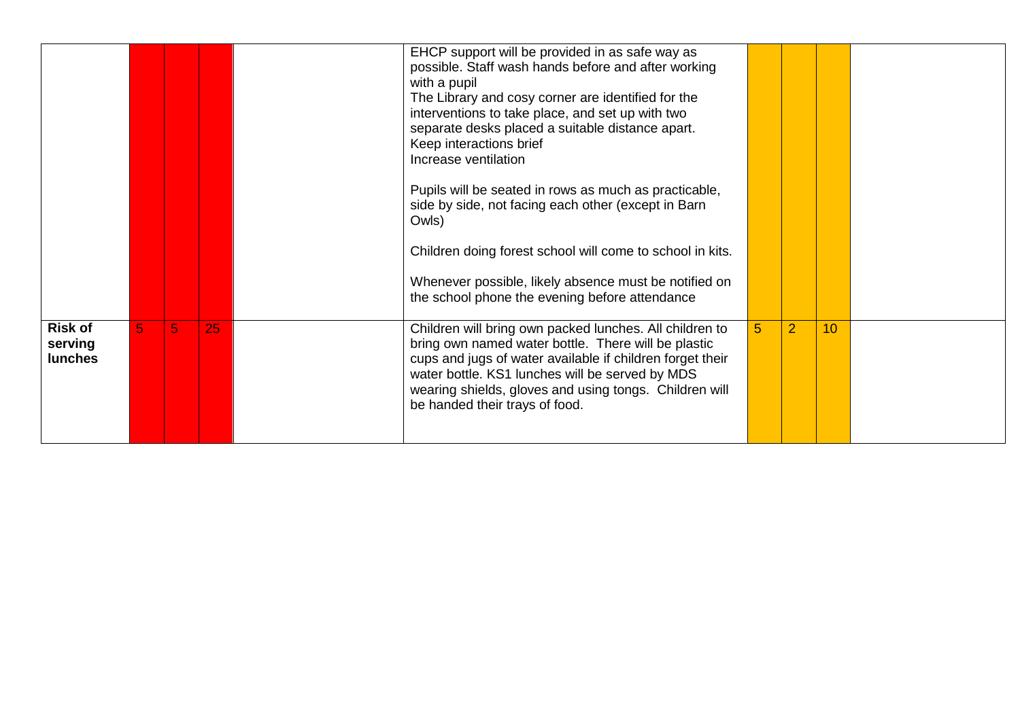|                                             |    |   |    | EHCP support will be provided in as safe way as<br>possible. Staff wash hands before and after working<br>with a pupil<br>The Library and cosy corner are identified for the<br>interventions to take place, and set up with two<br>separate desks placed a suitable distance apart.<br>Keep interactions brief<br>Increase ventilation |   |                |                 |  |
|---------------------------------------------|----|---|----|-----------------------------------------------------------------------------------------------------------------------------------------------------------------------------------------------------------------------------------------------------------------------------------------------------------------------------------------|---|----------------|-----------------|--|
|                                             |    |   |    | Pupils will be seated in rows as much as practicable,<br>side by side, not facing each other (except in Barn<br>Owls)                                                                                                                                                                                                                   |   |                |                 |  |
|                                             |    |   |    | Children doing forest school will come to school in kits.                                                                                                                                                                                                                                                                               |   |                |                 |  |
|                                             |    |   |    | Whenever possible, likely absence must be notified on<br>the school phone the evening before attendance                                                                                                                                                                                                                                 |   |                |                 |  |
| <b>Risk of</b><br>serving<br><b>lunches</b> | 5. | 5 | 25 | Children will bring own packed lunches. All children to<br>bring own named water bottle. There will be plastic<br>cups and jugs of water available if children forget their<br>water bottle. KS1 lunches will be served by MDS<br>wearing shields, gloves and using tongs. Children will<br>be handed their trays of food.              | 5 | $\overline{2}$ | 10 <sup>°</sup> |  |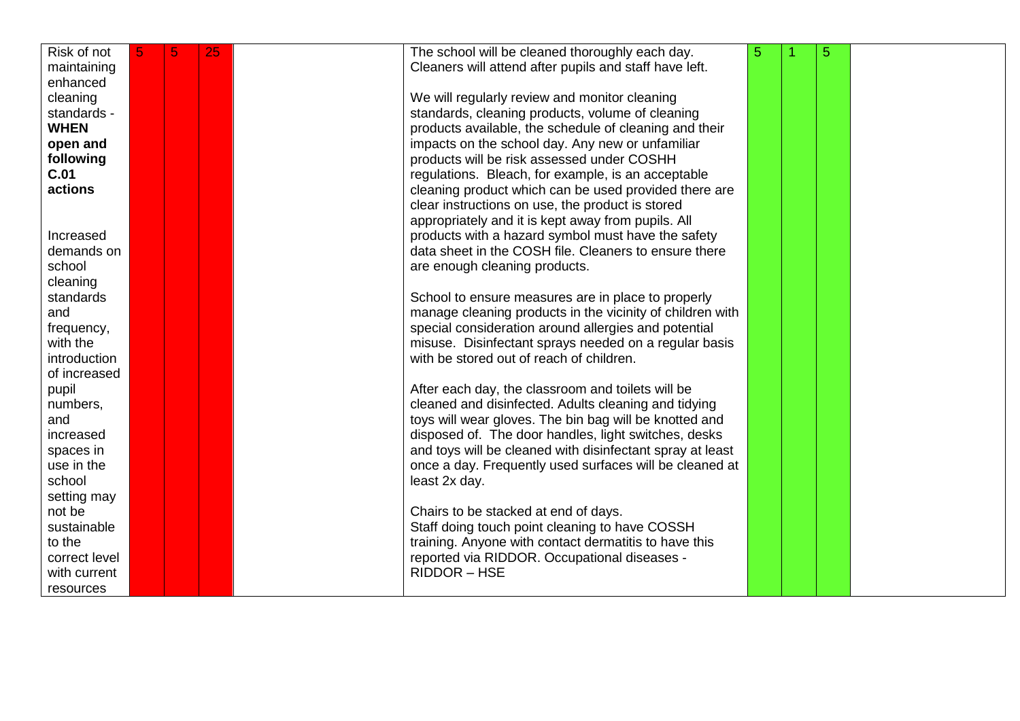| Risk of not   | 5 | 5 | 25 | The school will be cleaned thoroughly each day.           | 5 | 5 |  |
|---------------|---|---|----|-----------------------------------------------------------|---|---|--|
| maintaining   |   |   |    | Cleaners will attend after pupils and staff have left.    |   |   |  |
| enhanced      |   |   |    |                                                           |   |   |  |
| cleaning      |   |   |    | We will regularly review and monitor cleaning             |   |   |  |
| standards -   |   |   |    | standards, cleaning products, volume of cleaning          |   |   |  |
| <b>WHEN</b>   |   |   |    | products available, the schedule of cleaning and their    |   |   |  |
| open and      |   |   |    | impacts on the school day. Any new or unfamiliar          |   |   |  |
| following     |   |   |    | products will be risk assessed under COSHH                |   |   |  |
|               |   |   |    |                                                           |   |   |  |
| C.01          |   |   |    | regulations. Bleach, for example, is an acceptable        |   |   |  |
| actions       |   |   |    | cleaning product which can be used provided there are     |   |   |  |
|               |   |   |    | clear instructions on use, the product is stored          |   |   |  |
|               |   |   |    | appropriately and it is kept away from pupils. All        |   |   |  |
| Increased     |   |   |    | products with a hazard symbol must have the safety        |   |   |  |
| demands on    |   |   |    | data sheet in the COSH file. Cleaners to ensure there     |   |   |  |
| school        |   |   |    | are enough cleaning products.                             |   |   |  |
| cleaning      |   |   |    |                                                           |   |   |  |
| standards     |   |   |    | School to ensure measures are in place to properly        |   |   |  |
| and           |   |   |    | manage cleaning products in the vicinity of children with |   |   |  |
|               |   |   |    |                                                           |   |   |  |
| frequency,    |   |   |    | special consideration around allergies and potential      |   |   |  |
| with the      |   |   |    | misuse. Disinfectant sprays needed on a regular basis     |   |   |  |
| introduction  |   |   |    | with be stored out of reach of children.                  |   |   |  |
| of increased  |   |   |    |                                                           |   |   |  |
| pupil         |   |   |    | After each day, the classroom and toilets will be         |   |   |  |
| numbers,      |   |   |    | cleaned and disinfected. Adults cleaning and tidying      |   |   |  |
| and           |   |   |    | toys will wear gloves. The bin bag will be knotted and    |   |   |  |
| increased     |   |   |    | disposed of. The door handles, light switches, desks      |   |   |  |
| spaces in     |   |   |    | and toys will be cleaned with disinfectant spray at least |   |   |  |
| use in the    |   |   |    | once a day. Frequently used surfaces will be cleaned at   |   |   |  |
| school        |   |   |    | least 2x day.                                             |   |   |  |
| setting may   |   |   |    |                                                           |   |   |  |
|               |   |   |    |                                                           |   |   |  |
| not be        |   |   |    | Chairs to be stacked at end of days.                      |   |   |  |
| sustainable   |   |   |    | Staff doing touch point cleaning to have COSSH            |   |   |  |
| to the        |   |   |    | training. Anyone with contact dermatitis to have this     |   |   |  |
| correct level |   |   |    | reported via RIDDOR. Occupational diseases -              |   |   |  |
| with current  |   |   |    | RIDDOR-HSE                                                |   |   |  |
| resources     |   |   |    |                                                           |   |   |  |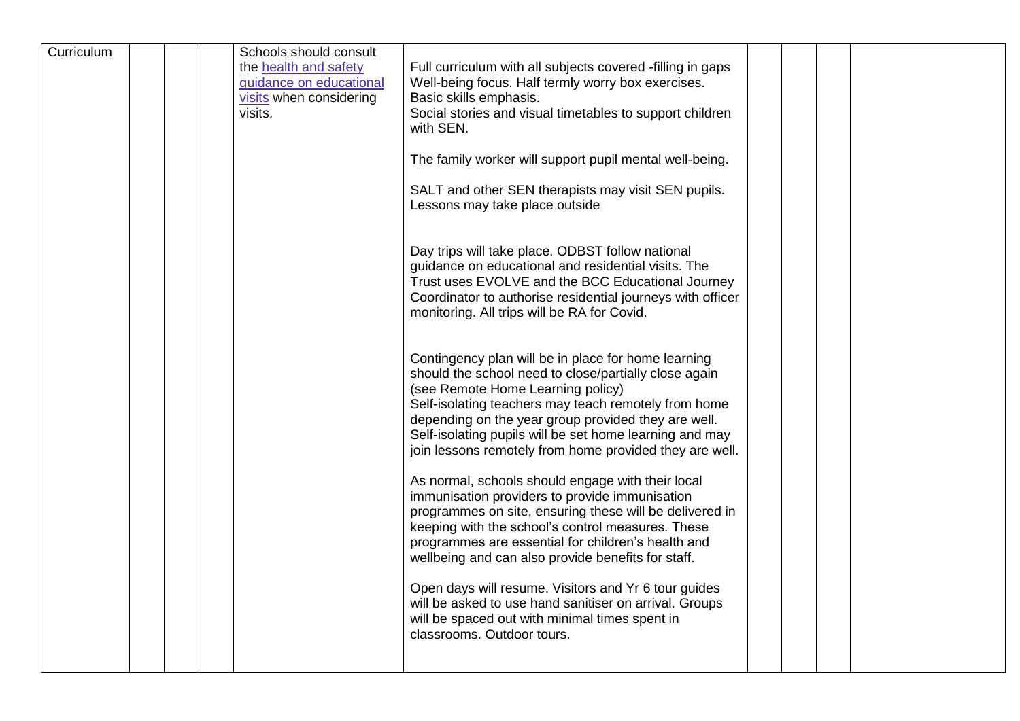| Curriculum |  | Schools should consult  |                                                                                                                    |  |  |
|------------|--|-------------------------|--------------------------------------------------------------------------------------------------------------------|--|--|
|            |  | the health and safety   | Full curriculum with all subjects covered -filling in gaps                                                         |  |  |
|            |  | guidance on educational | Well-being focus. Half termly worry box exercises.                                                                 |  |  |
|            |  | visits when considering | Basic skills emphasis.                                                                                             |  |  |
|            |  | visits.                 | Social stories and visual timetables to support children                                                           |  |  |
|            |  |                         | with SEN.                                                                                                          |  |  |
|            |  |                         |                                                                                                                    |  |  |
|            |  |                         | The family worker will support pupil mental well-being.                                                            |  |  |
|            |  |                         |                                                                                                                    |  |  |
|            |  |                         | SALT and other SEN therapists may visit SEN pupils.                                                                |  |  |
|            |  |                         | Lessons may take place outside                                                                                     |  |  |
|            |  |                         |                                                                                                                    |  |  |
|            |  |                         | Day trips will take place. ODBST follow national                                                                   |  |  |
|            |  |                         | guidance on educational and residential visits. The                                                                |  |  |
|            |  |                         | Trust uses EVOLVE and the BCC Educational Journey                                                                  |  |  |
|            |  |                         | Coordinator to authorise residential journeys with officer                                                         |  |  |
|            |  |                         | monitoring. All trips will be RA for Covid.                                                                        |  |  |
|            |  |                         |                                                                                                                    |  |  |
|            |  |                         |                                                                                                                    |  |  |
|            |  |                         | Contingency plan will be in place for home learning                                                                |  |  |
|            |  |                         | should the school need to close/partially close again                                                              |  |  |
|            |  |                         | (see Remote Home Learning policy)                                                                                  |  |  |
|            |  |                         | Self-isolating teachers may teach remotely from home                                                               |  |  |
|            |  |                         | depending on the year group provided they are well.                                                                |  |  |
|            |  |                         | Self-isolating pupils will be set home learning and may<br>join lessons remotely from home provided they are well. |  |  |
|            |  |                         |                                                                                                                    |  |  |
|            |  |                         | As normal, schools should engage with their local                                                                  |  |  |
|            |  |                         | immunisation providers to provide immunisation                                                                     |  |  |
|            |  |                         | programmes on site, ensuring these will be delivered in                                                            |  |  |
|            |  |                         | keeping with the school's control measures. These                                                                  |  |  |
|            |  |                         | programmes are essential for children's health and                                                                 |  |  |
|            |  |                         | wellbeing and can also provide benefits for staff.                                                                 |  |  |
|            |  |                         |                                                                                                                    |  |  |
|            |  |                         | Open days will resume. Visitors and Yr 6 tour guides                                                               |  |  |
|            |  |                         | will be asked to use hand sanitiser on arrival. Groups                                                             |  |  |
|            |  |                         | will be spaced out with minimal times spent in<br>classrooms. Outdoor tours.                                       |  |  |
|            |  |                         |                                                                                                                    |  |  |
|            |  |                         |                                                                                                                    |  |  |
|            |  |                         |                                                                                                                    |  |  |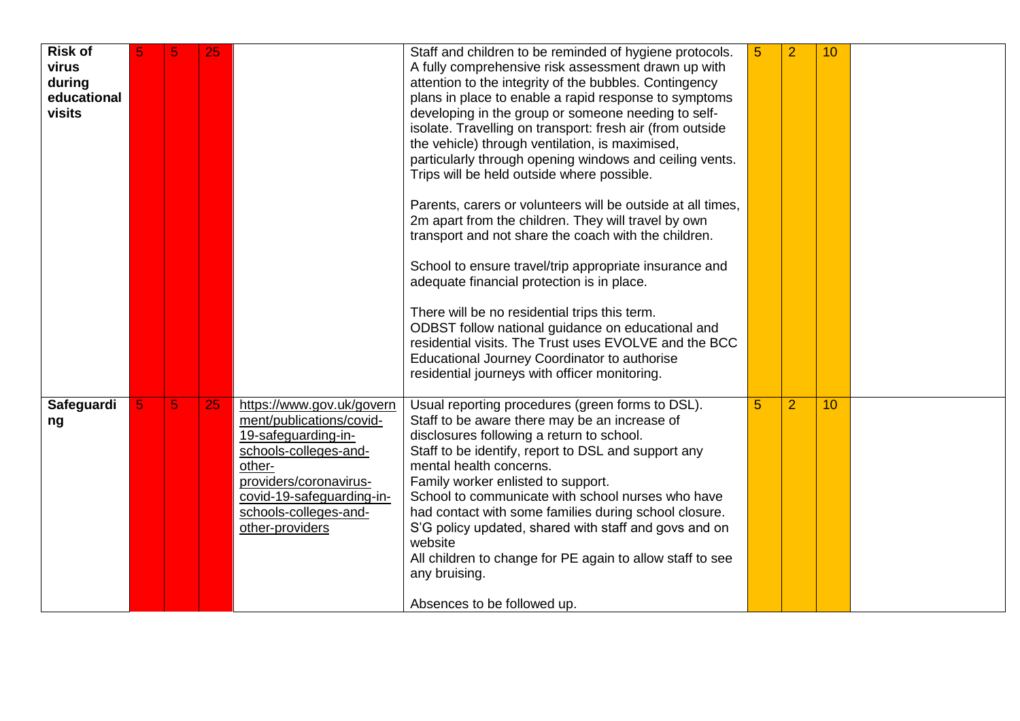| <b>Risk of</b><br>virus<br>during<br>educational |    | $\overline{5}$ | 25 |                                                                                                                                                                                                                    | Staff and children to be reminded of hygiene protocols.<br>A fully comprehensive risk assessment drawn up with<br>attention to the integrity of the bubbles. Contingency                                                                                                                                                                                                                                                                                                                                                                                                                                                                                                                                                                                                                                                                                                                    | 5              | $\overline{2}$ | 10 |  |
|--------------------------------------------------|----|----------------|----|--------------------------------------------------------------------------------------------------------------------------------------------------------------------------------------------------------------------|---------------------------------------------------------------------------------------------------------------------------------------------------------------------------------------------------------------------------------------------------------------------------------------------------------------------------------------------------------------------------------------------------------------------------------------------------------------------------------------------------------------------------------------------------------------------------------------------------------------------------------------------------------------------------------------------------------------------------------------------------------------------------------------------------------------------------------------------------------------------------------------------|----------------|----------------|----|--|
| visits                                           |    |                |    |                                                                                                                                                                                                                    | plans in place to enable a rapid response to symptoms<br>developing in the group or someone needing to self-<br>isolate. Travelling on transport: fresh air (from outside<br>the vehicle) through ventilation, is maximised,<br>particularly through opening windows and ceiling vents.<br>Trips will be held outside where possible.<br>Parents, carers or volunteers will be outside at all times,<br>2m apart from the children. They will travel by own<br>transport and not share the coach with the children.<br>School to ensure travel/trip appropriate insurance and<br>adequate financial protection is in place.<br>There will be no residential trips this term.<br>ODBST follow national guidance on educational and<br>residential visits. The Trust uses EVOLVE and the BCC<br>Educational Journey Coordinator to authorise<br>residential journeys with officer monitoring. |                |                |    |  |
| Safeguardi<br>ng                                 | 5. | $\overline{5}$ | 25 | https://www.gov.uk/govern<br>ment/publications/covid-<br>19-safeguarding-in-<br>schools-colleges-and-<br>other-<br>providers/coronavirus-<br>covid-19-safeguarding-in-<br>schools-colleges-and-<br>other-providers | Usual reporting procedures (green forms to DSL).<br>Staff to be aware there may be an increase of<br>disclosures following a return to school.<br>Staff to be identify, report to DSL and support any<br>mental health concerns.<br>Family worker enlisted to support.<br>School to communicate with school nurses who have<br>had contact with some families during school closure.<br>S'G policy updated, shared with staff and govs and on<br>website<br>All children to change for PE again to allow staff to see<br>any bruising.<br>Absences to be followed up.                                                                                                                                                                                                                                                                                                                       | 5 <sup>5</sup> | $\overline{2}$ | 10 |  |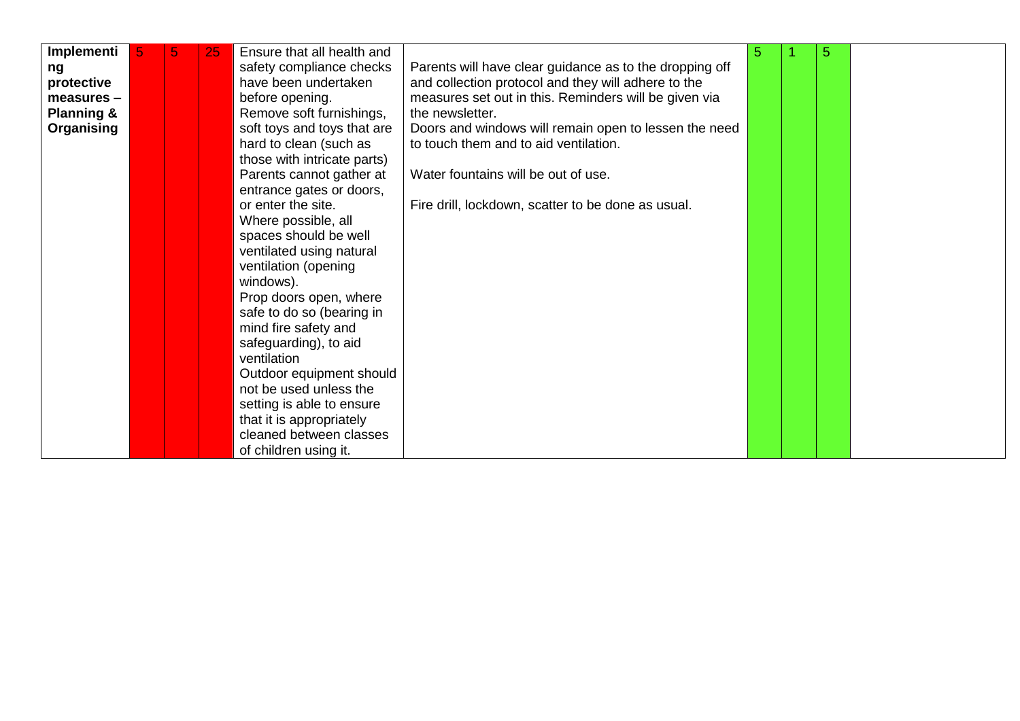| Implementi            | 5 | 25 | Ensure that all health and  |                                                         | 5 | 5 |  |
|-----------------------|---|----|-----------------------------|---------------------------------------------------------|---|---|--|
| ng                    |   |    | safety compliance checks    | Parents will have clear guidance as to the dropping off |   |   |  |
| protective            |   |    | have been undertaken        | and collection protocol and they will adhere to the     |   |   |  |
| measures -            |   |    | before opening.             | measures set out in this. Reminders will be given via   |   |   |  |
| <b>Planning &amp;</b> |   |    | Remove soft furnishings,    | the newsletter.                                         |   |   |  |
| Organising            |   |    | soft toys and toys that are | Doors and windows will remain open to lessen the need   |   |   |  |
|                       |   |    | hard to clean (such as      | to touch them and to aid ventilation.                   |   |   |  |
|                       |   |    | those with intricate parts) |                                                         |   |   |  |
|                       |   |    | Parents cannot gather at    | Water fountains will be out of use.                     |   |   |  |
|                       |   |    | entrance gates or doors,    |                                                         |   |   |  |
|                       |   |    | or enter the site.          | Fire drill, lockdown, scatter to be done as usual.      |   |   |  |
|                       |   |    | Where possible, all         |                                                         |   |   |  |
|                       |   |    | spaces should be well       |                                                         |   |   |  |
|                       |   |    | ventilated using natural    |                                                         |   |   |  |
|                       |   |    | ventilation (opening        |                                                         |   |   |  |
|                       |   |    | windows).                   |                                                         |   |   |  |
|                       |   |    | Prop doors open, where      |                                                         |   |   |  |
|                       |   |    | safe to do so (bearing in   |                                                         |   |   |  |
|                       |   |    | mind fire safety and        |                                                         |   |   |  |
|                       |   |    | safeguarding), to aid       |                                                         |   |   |  |
|                       |   |    | ventilation                 |                                                         |   |   |  |
|                       |   |    | Outdoor equipment should    |                                                         |   |   |  |
|                       |   |    | not be used unless the      |                                                         |   |   |  |
|                       |   |    | setting is able to ensure   |                                                         |   |   |  |
|                       |   |    | that it is appropriately    |                                                         |   |   |  |
|                       |   |    | cleaned between classes     |                                                         |   |   |  |
|                       |   |    |                             |                                                         |   |   |  |
|                       |   |    | of children using it.       |                                                         |   |   |  |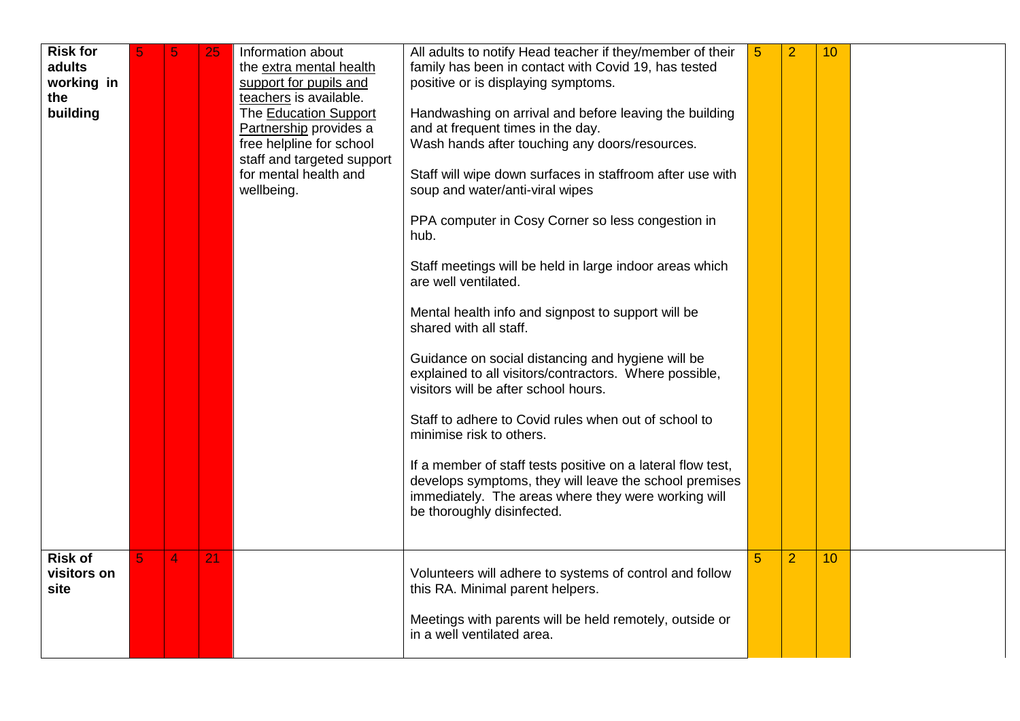| <b>Risk for</b><br>adults<br>working in<br>the<br>building |   |                | 25 | Information about<br>the extra mental health<br>support for pupils and<br>teachers is available.<br>The Education Support<br>Partnership provides a<br>free helpline for school<br>staff and targeted support<br>for mental health and<br>wellbeing. | All adults to notify Head teacher if they/member of their<br>family has been in contact with Covid 19, has tested<br>positive or is displaying symptoms.<br>Handwashing on arrival and before leaving the building<br>and at frequent times in the day.<br>Wash hands after touching any doors/resources.<br>Staff will wipe down surfaces in staffroom after use with<br>soup and water/anti-viral wipes<br>PPA computer in Cosy Corner so less congestion in<br>hub.<br>Staff meetings will be held in large indoor areas which<br>are well ventilated.<br>Mental health info and signpost to support will be<br>shared with all staff.<br>Guidance on social distancing and hygiene will be<br>explained to all visitors/contractors. Where possible,<br>visitors will be after school hours.<br>Staff to adhere to Covid rules when out of school to<br>minimise risk to others.<br>If a member of staff tests positive on a lateral flow test,<br>develops symptoms, they will leave the school premises<br>immediately. The areas where they were working will<br>be thoroughly disinfected. | 5 | $\overline{2}$ | 10 |  |
|------------------------------------------------------------|---|----------------|----|------------------------------------------------------------------------------------------------------------------------------------------------------------------------------------------------------------------------------------------------------|----------------------------------------------------------------------------------------------------------------------------------------------------------------------------------------------------------------------------------------------------------------------------------------------------------------------------------------------------------------------------------------------------------------------------------------------------------------------------------------------------------------------------------------------------------------------------------------------------------------------------------------------------------------------------------------------------------------------------------------------------------------------------------------------------------------------------------------------------------------------------------------------------------------------------------------------------------------------------------------------------------------------------------------------------------------------------------------------------|---|----------------|----|--|
| <b>Risk of</b><br>visitors on<br>site                      | 5 | $\overline{4}$ | 21 |                                                                                                                                                                                                                                                      | Volunteers will adhere to systems of control and follow<br>this RA. Minimal parent helpers.<br>Meetings with parents will be held remotely, outside or<br>in a well ventilated area.                                                                                                                                                                                                                                                                                                                                                                                                                                                                                                                                                                                                                                                                                                                                                                                                                                                                                                               | 5 | $\overline{2}$ | 10 |  |
|                                                            |   |                |    |                                                                                                                                                                                                                                                      |                                                                                                                                                                                                                                                                                                                                                                                                                                                                                                                                                                                                                                                                                                                                                                                                                                                                                                                                                                                                                                                                                                    |   |                |    |  |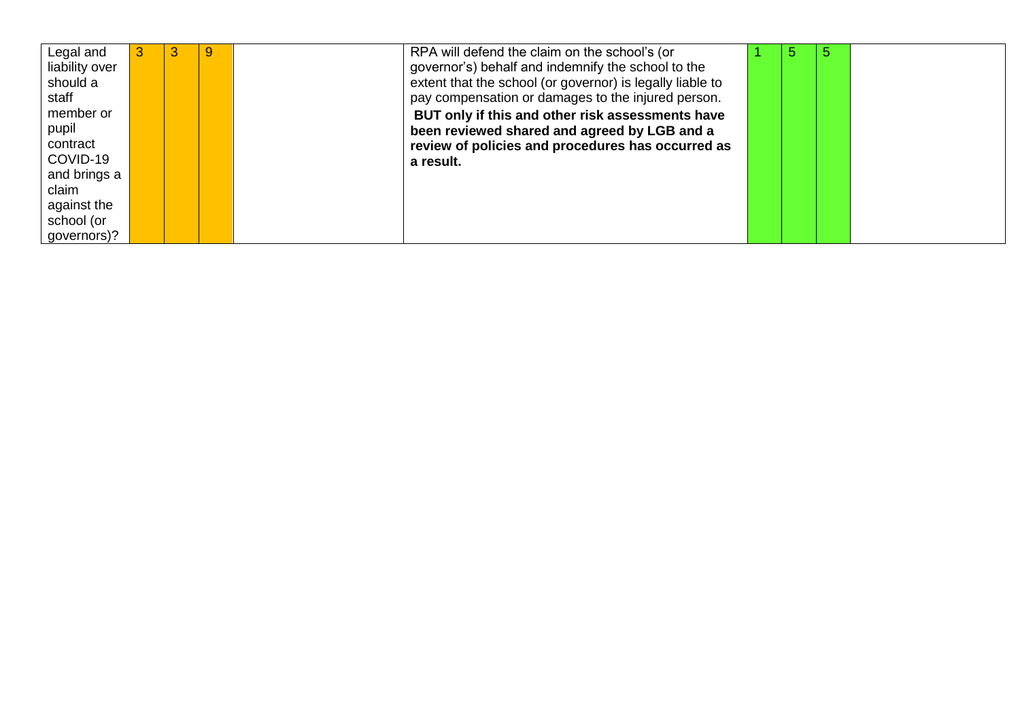| Legal and      | 3 | 9 | RPA will defend the claim on the school's (or             | 757 |  |
|----------------|---|---|-----------------------------------------------------------|-----|--|
| liability over |   |   | governor's) behalf and indemnify the school to the        |     |  |
| should a       |   |   | extent that the school (or governor) is legally liable to |     |  |
| staff          |   |   | pay compensation or damages to the injured person.        |     |  |
| member or      |   |   | BUT only if this and other risk assessments have          |     |  |
| pupil          |   |   | been reviewed shared and agreed by LGB and a              |     |  |
| contract       |   |   | review of policies and procedures has occurred as         |     |  |
| COVID-19       |   |   | a result.                                                 |     |  |
| and brings a   |   |   |                                                           |     |  |
| claim          |   |   |                                                           |     |  |
| against the    |   |   |                                                           |     |  |
| school (or     |   |   |                                                           |     |  |
| governors)?    |   |   |                                                           |     |  |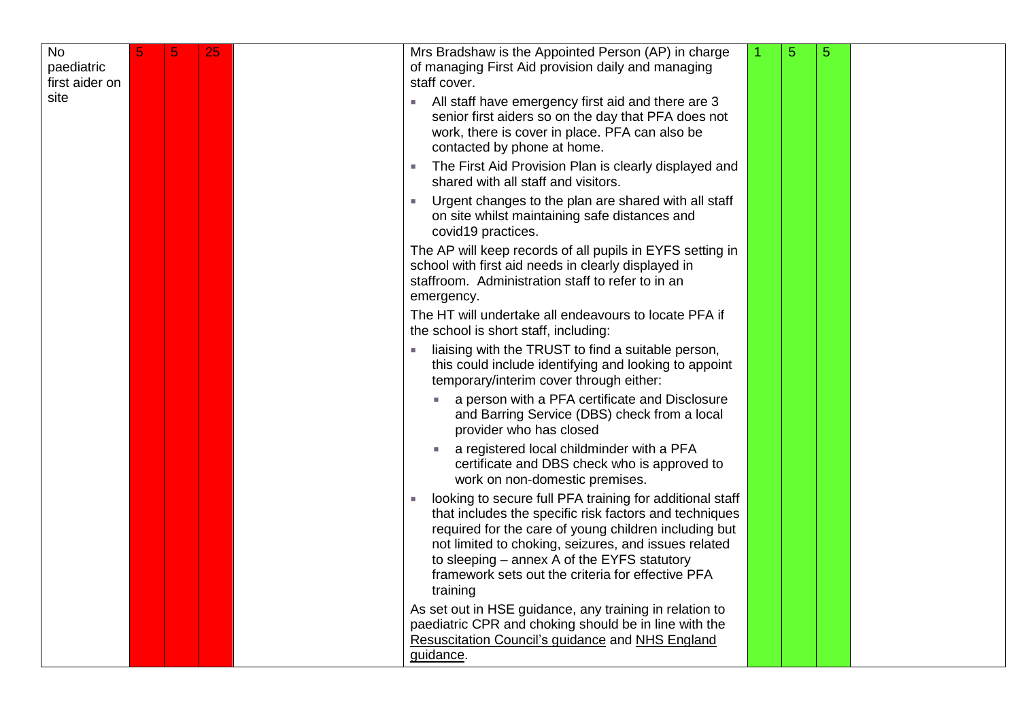| <b>No</b><br>paediatric<br>first aider on<br>site | 5 | 25 | Mrs Bradshaw is the Appointed Person (AP) in charge<br>of managing First Aid provision daily and managing<br>staff cover.<br>All staff have emergency first aid and there are 3<br>u.<br>senior first aiders so on the day that PFA does not<br>work, there is cover in place. PFA can also be                                                      | 5 | 5 |  |
|---------------------------------------------------|---|----|-----------------------------------------------------------------------------------------------------------------------------------------------------------------------------------------------------------------------------------------------------------------------------------------------------------------------------------------------------|---|---|--|
|                                                   |   |    | contacted by phone at home.<br>The First Aid Provision Plan is clearly displayed and<br>shared with all staff and visitors.                                                                                                                                                                                                                         |   |   |  |
|                                                   |   |    | Urgent changes to the plan are shared with all staff<br>on site whilst maintaining safe distances and<br>covid19 practices.                                                                                                                                                                                                                         |   |   |  |
|                                                   |   |    | The AP will keep records of all pupils in EYFS setting in<br>school with first aid needs in clearly displayed in<br>staffroom. Administration staff to refer to in an<br>emergency.                                                                                                                                                                 |   |   |  |
|                                                   |   |    | The HT will undertake all endeavours to locate PFA if<br>the school is short staff, including:                                                                                                                                                                                                                                                      |   |   |  |
|                                                   |   |    | liaising with the TRUST to find a suitable person,<br>this could include identifying and looking to appoint<br>temporary/interim cover through either:                                                                                                                                                                                              |   |   |  |
|                                                   |   |    | a person with a PFA certificate and Disclosure<br>and Barring Service (DBS) check from a local<br>provider who has closed                                                                                                                                                                                                                           |   |   |  |
|                                                   |   |    | a registered local childminder with a PFA<br>certificate and DBS check who is approved to<br>work on non-domestic premises.                                                                                                                                                                                                                         |   |   |  |
|                                                   |   |    | looking to secure full PFA training for additional staff<br>that includes the specific risk factors and techniques<br>required for the care of young children including but<br>not limited to choking, seizures, and issues related<br>to sleeping - annex A of the EYFS statutory<br>framework sets out the criteria for effective PFA<br>training |   |   |  |
|                                                   |   |    | As set out in HSE guidance, any training in relation to<br>paediatric CPR and choking should be in line with the<br><b>Resuscitation Council's guidance and NHS England</b><br>guidance.                                                                                                                                                            |   |   |  |

 $\mathcal{L}_{\mathcal{A}}$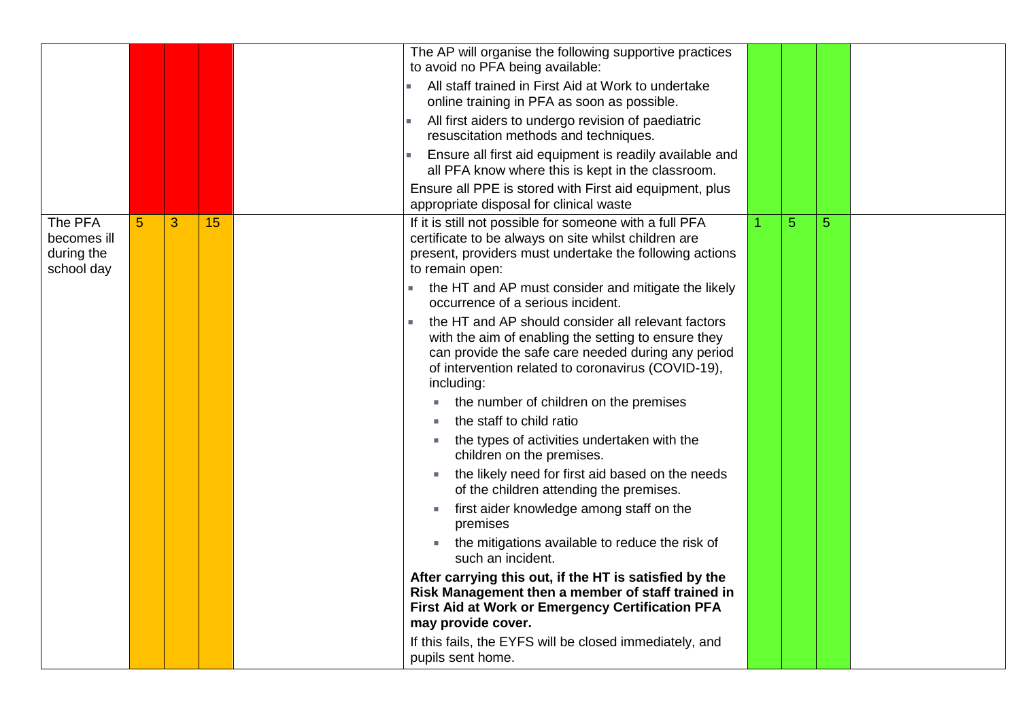|                                                    |   |   |    | The AP will organise the following supportive practices<br>to avoid no PFA being available:<br>All staff trained in First Aid at Work to undertake                                                                                                |   |   |  |
|----------------------------------------------------|---|---|----|---------------------------------------------------------------------------------------------------------------------------------------------------------------------------------------------------------------------------------------------------|---|---|--|
|                                                    |   |   |    | online training in PFA as soon as possible.                                                                                                                                                                                                       |   |   |  |
|                                                    |   |   |    | All first aiders to undergo revision of paediatric<br>resuscitation methods and techniques.                                                                                                                                                       |   |   |  |
|                                                    |   |   |    | Ensure all first aid equipment is readily available and<br>all PFA know where this is kept in the classroom.                                                                                                                                      |   |   |  |
|                                                    |   |   |    | Ensure all PPE is stored with First aid equipment, plus<br>appropriate disposal for clinical waste                                                                                                                                                |   |   |  |
| The PFA<br>becomes ill<br>during the<br>school day | 5 | 3 | 15 | If it is still not possible for someone with a full PFA<br>certificate to be always on site whilst children are<br>present, providers must undertake the following actions<br>to remain open:                                                     | 5 | 5 |  |
|                                                    |   |   |    | the HT and AP must consider and mitigate the likely<br>occurrence of a serious incident.                                                                                                                                                          |   |   |  |
|                                                    |   |   |    | the HT and AP should consider all relevant factors<br><b>COL</b><br>with the aim of enabling the setting to ensure they<br>can provide the safe care needed during any period<br>of intervention related to coronavirus (COVID-19),<br>including: |   |   |  |
|                                                    |   |   |    | the number of children on the premises                                                                                                                                                                                                            |   |   |  |
|                                                    |   |   |    | the staff to child ratio<br>the types of activities undertaken with the                                                                                                                                                                           |   |   |  |
|                                                    |   |   |    | children on the premises.<br>the likely need for first aid based on the needs<br>of the children attending the premises.                                                                                                                          |   |   |  |
|                                                    |   |   |    | first aider knowledge among staff on the<br>п<br>premises                                                                                                                                                                                         |   |   |  |
|                                                    |   |   |    | the mitigations available to reduce the risk of<br>such an incident.                                                                                                                                                                              |   |   |  |
|                                                    |   |   |    | After carrying this out, if the HT is satisfied by the<br>Risk Management then a member of staff trained in<br><b>First Aid at Work or Emergency Certification PFA</b><br>may provide cover.                                                      |   |   |  |
|                                                    |   |   |    | If this fails, the EYFS will be closed immediately, and<br>pupils sent home.                                                                                                                                                                      |   |   |  |